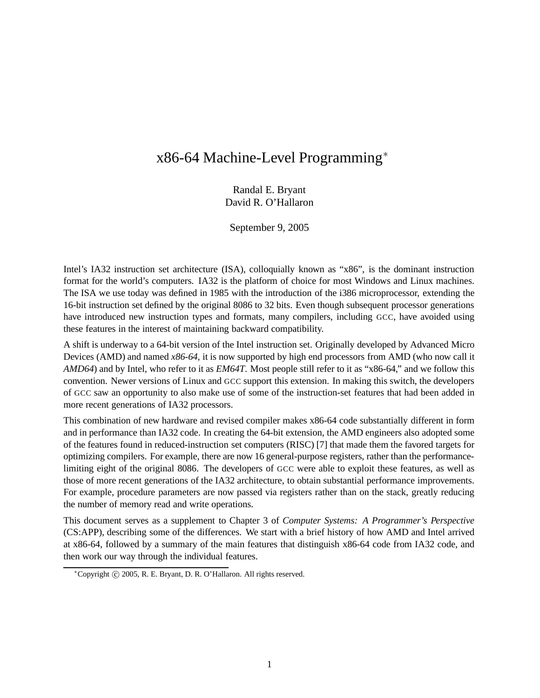# x86-64 Machine-Level Programming<sup>∗</sup>

Randal E. Bryant David R. O'Hallaron

September 9, 2005

Intel's IA32 instruction set architecture (ISA), colloquially known as "x86", is the dominant instruction format for the world's computers. IA32 is the platform of choice for most Windows and Linux machines. The ISA we use today was defined in 1985 with the introduction of the i386 microprocessor, extending the 16-bit instruction set defined by the original 8086 to 32 bits. Even though subsequent processor generations have introduced new instruction types and formats, many compilers, including GCC, have avoided using these features in the interest of maintaining backward compatibility.

A shift is underway to a 64-bit version of the Intel instruction set. Originally developed by Advanced Micro Devices (AMD) and named *x86-64*, it is now supported by high end processors from AMD (who now call it *AMD64*) and by Intel, who refer to it as *EM64T*. Most people still refer to it as "x86-64," and we follow this convention. Newer versions of Linux and GCC support this extension. In making this switch, the developers of GCC saw an opportunity to also make use of some of the instruction-set features that had been added in more recent generations of IA32 processors.

This combination of new hardware and revised compiler makes x86-64 code substantially different in form and in performance than IA32 code. In creating the 64-bit extension, the AMD engineers also adopted some of the features found in reduced-instruction set computers (RISC) [7] that made them the favored targets for optimizing compilers. For example, there are now 16 general-purpose registers, rather than the performancelimiting eight of the original 8086. The developers of GCC were able to exploit these features, as well as those of more recent generations of the IA32 architecture, to obtain substantial performance improvements. For example, procedure parameters are now passed via registers rather than on the stack, greatly reducing the number of memory read and write operations.

This document serves as a supplement to Chapter 3 of *Computer Systems: A Programmer's Perspective* (CS:APP), describing some of the differences. We start with a brief history of how AMD and Intel arrived at x86-64, followed by a summary of the main features that distinguish x86-64 code from IA32 code, and then work our way through the individual features.

<sup>∗</sup>Copyright c 2005, R. E. Bryant, D. R. O'Hallaron. All rights reserved.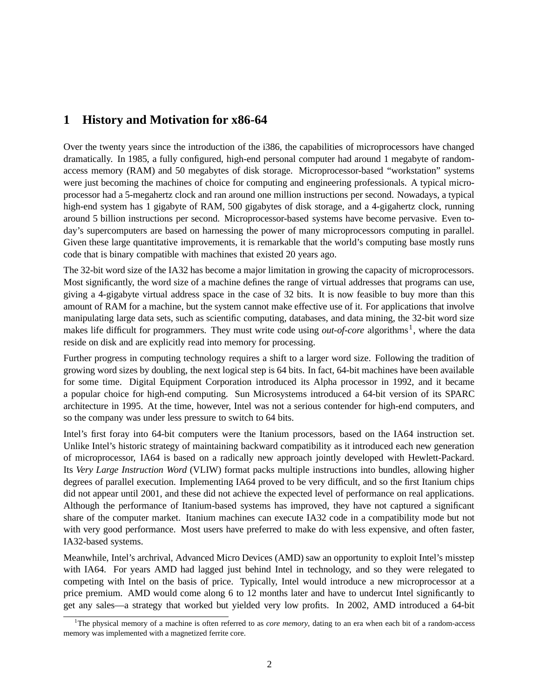# **1 History and Motivation for x86-64**

Over the twenty years since the introduction of the i386, the capabilities of microprocessors have changed dramatically. In 1985, a fully configured, high-end personal computer had around 1 megabyte of randomaccess memory (RAM) and 50 megabytes of disk storage. Microprocessor-based "workstation" systems were just becoming the machines of choice for computing and engineering professionals. A typical microprocessor had a 5-megahertz clock and ran around one million instructions per second. Nowadays, a typical high-end system has 1 gigabyte of RAM, 500 gigabytes of disk storage, and a 4-gigahertz clock, running around 5 billion instructions per second. Microprocessor-based systems have become pervasive. Even today's supercomputers are based on harnessing the power of many microprocessors computing in parallel. Given these large quantitative improvements, it is remarkable that the world's computing base mostly runs code that is binary compatible with machines that existed 20 years ago.

The 32-bit word size of the IA32 has become a major limitation in growing the capacity of microprocessors. Most significantly, the word size of a machine defines the range of virtual addresses that programs can use, giving a 4-gigabyte virtual address space in the case of 32 bits. It is now feasible to buy more than this amount of RAM for a machine, but the system cannot make effective use of it. For applications that involve manipulating large data sets, such as scientific computing, databases, and data mining, the 32-bit word size makes life difficult for programmers. They must write code using *out-of-core* algorithms<sup>1</sup>, where the data reside on disk and are explicitly read into memory for processing.

Further progress in computing technology requires a shift to a larger word size. Following the tradition of growing word sizes by doubling, the next logical step is 64 bits. In fact, 64-bit machines have been available for some time. Digital Equipment Corporation introduced its Alpha processor in 1992, and it became a popular choice for high-end computing. Sun Microsystems introduced a 64-bit version of its SPARC architecture in 1995. At the time, however, Intel was not a serious contender for high-end computers, and so the company was under less pressure to switch to 64 bits.

Intel's first foray into 64-bit computers were the Itanium processors, based on the IA64 instruction set. Unlike Intel's historic strategy of maintaining backward compatibility as it introduced each new generation of microprocessor, IA64 is based on a radically new approach jointly developed with Hewlett-Packard. Its *Very Large Instruction Word* (VLIW) format packs multiple instructions into bundles, allowing higher degrees of parallel execution. Implementing IA64 proved to be very difficult, and so the first Itanium chips did not appear until 2001, and these did not achieve the expected level of performance on real applications. Although the performance of Itanium-based systems has improved, they have not captured a significant share of the computer market. Itanium machines can execute IA32 code in a compatibility mode but not with very good performance. Most users have preferred to make do with less expensive, and often faster, IA32-based systems.

Meanwhile, Intel's archrival, Advanced Micro Devices (AMD) saw an opportunity to exploit Intel's misstep with IA64. For years AMD had lagged just behind Intel in technology, and so they were relegated to competing with Intel on the basis of price. Typically, Intel would introduce a new microprocessor at a price premium. AMD would come along 6 to 12 months later and have to undercut Intel significantly to get any sales—a strategy that worked but yielded very low profits. In 2002, AMD introduced a 64-bit

<sup>&</sup>lt;sup>1</sup>The physical memory of a machine is often referred to as *core memory*, dating to an era when each bit of a random-access memory was implemented with a magnetized ferrite core.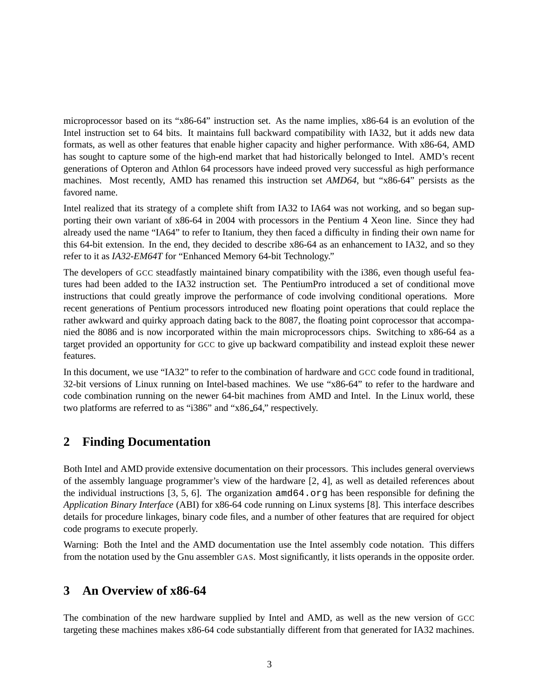microprocessor based on its "x86-64" instruction set. As the name implies, x86-64 is an evolution of the Intel instruction set to 64 bits. It maintains full backward compatibility with IA32, but it adds new data formats, as well as other features that enable higher capacity and higher performance. With x86-64, AMD has sought to capture some of the high-end market that had historically belonged to Intel. AMD's recent generations of Opteron and Athlon 64 processors have indeed proved very successful as high performance machines. Most recently, AMD has renamed this instruction set *AMD64*, but "x86-64" persists as the favored name.

Intel realized that its strategy of a complete shift from IA32 to IA64 was not working, and so began supporting their own variant of x86-64 in 2004 with processors in the Pentium 4 Xeon line. Since they had already used the name "IA64" to refer to Itanium, they then faced a difficulty in finding their own name for this 64-bit extension. In the end, they decided to describe x86-64 as an enhancement to IA32, and so they refer to it as *IA32-EM64T* for "Enhanced Memory 64-bit Technology."

The developers of GCC steadfastly maintained binary compatibility with the i386, even though useful features had been added to the IA32 instruction set. The PentiumPro introduced a set of conditional move instructions that could greatly improve the performance of code involving conditional operations. More recent generations of Pentium processors introduced new floating point operations that could replace the rather awkward and quirky approach dating back to the 8087, the floating point coprocessor that accompanied the 8086 and is now incorporated within the main microprocessors chips. Switching to x86-64 as a target provided an opportunity for GCC to give up backward compatibility and instead exploit these newer features.

In this document, we use "IA32" to refer to the combination of hardware and GCC code found in traditional, 32-bit versions of Linux running on Intel-based machines. We use "x86-64" to refer to the hardware and code combination running on the newer 64-bit machines from AMD and Intel. In the Linux world, these two platforms are referred to as "i386" and "x86\_64," respectively.

## **2 Finding Documentation**

Both Intel and AMD provide extensive documentation on their processors. This includes general overviews of the assembly language programmer's view of the hardware [2, 4], as well as detailed references about the individual instructions  $[3, 5, 6]$ . The organization amd64.org has been responsible for defining the *Application Binary Interface* (ABI) for x86-64 code running on Linux systems [8]. This interface describes details for procedure linkages, binary code files, and a number of other features that are required for object code programs to execute properly.

Warning: Both the Intel and the AMD documentation use the Intel assembly code notation. This differs from the notation used by the Gnu assembler GAS. Most significantly, it lists operands in the opposite order.

## **3 An Overview of x86-64**

The combination of the new hardware supplied by Intel and AMD, as well as the new version of GCC targeting these machines makes x86-64 code substantially different from that generated for IA32 machines.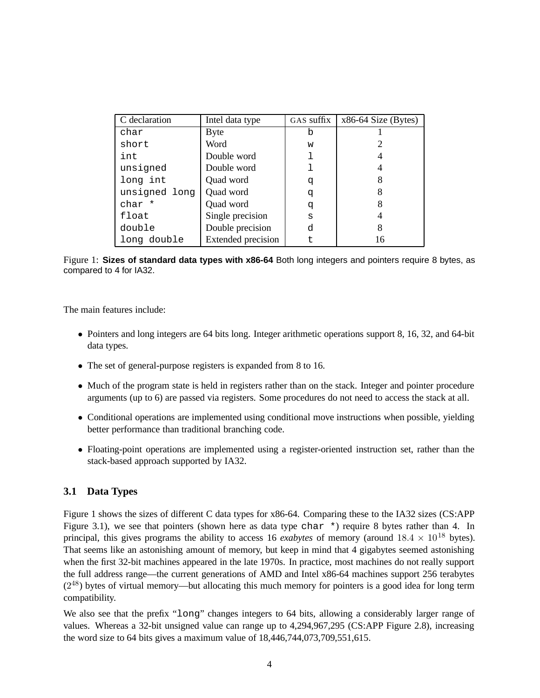| C declaration | Intel data type           | GAS suffix | $x86-64$ Size (Bytes) |
|---------------|---------------------------|------------|-----------------------|
| char          | <b>Byte</b>               | b          |                       |
| short         | Word                      | W          |                       |
| int           | Double word               |            |                       |
| unsigned      | Double word               |            |                       |
| long int      | Quad word                 | q          | 8                     |
| unsigned long | Quad word                 | đ          |                       |
| char *        | Quad word                 | q          | 8                     |
| float         | Single precision          | S          |                       |
| double        | Double precision          | d          | 8                     |
| long double   | <b>Extended</b> precision |            | 16                    |

Figure 1: **Sizes of standard data types with x86-64** Both long integers and pointers require 8 bytes, as compared to 4 for IA32.

The main features include:

- Pointers and long integers are 64 bits long. Integer arithmetic operations support 8, 16, 32, and 64-bit data types.
- The set of general-purpose registers is expanded from 8 to 16.
- Much of the program state is held in registers rather than on the stack. Integer and pointer procedure arguments (up to 6) are passed via registers. Some procedures do not need to access the stack at all.
- Conditional operations are implemented using conditional move instructions when possible, yielding better performance than traditional branching code.
- Floating-point operations are implemented using a register-oriented instruction set, rather than the stack-based approach supported by IA32.

### **3.1 Data Types**

Figure 1 shows the sizes of different C data types for x86-64. Comparing these to the IA32 sizes (CS:APP Figure 3.1), we see that pointers (shown here as data type char \*) require 8 bytes rather than 4. In principal, this gives programs the ability to access 16 *exabytes* of memory (around  $18.4 \times 10^{18}$  bytes). That seems like an astonishing amount of memory, but keep in mind that 4 gigabytes seemed astonishing when the first 32-bit machines appeared in the late 1970s. In practice, most machines do not really support the full address range—the current generations of AMD and Intel x86-64 machines support 256 terabytes (2<sup>48</sup>) bytes of virtual memory—but allocating this much memory for pointers is a good idea for long term compatibility.

We also see that the prefix "long" changes integers to 64 bits, allowing a considerably larger range of values. Whereas a 32-bit unsigned value can range up to 4,294,967,295 (CS:APP Figure 2.8), increasing the word size to 64 bits gives a maximum value of 18,446,744,073,709,551,615.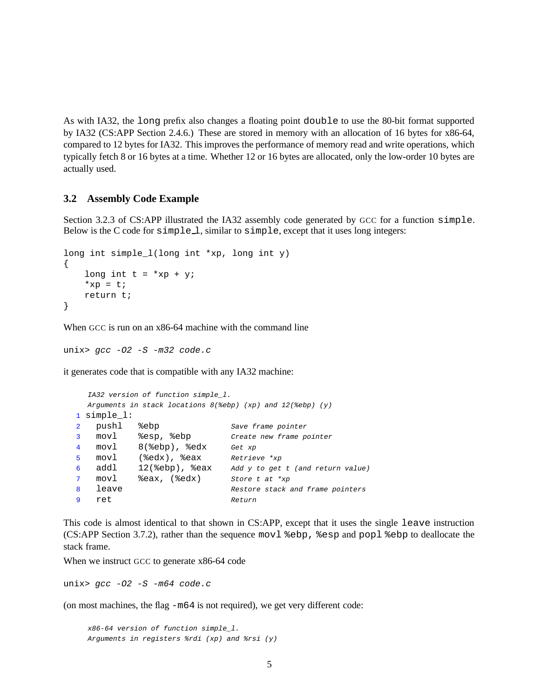As with IA32, the long prefix also changes a floating point double to use the 80-bit format supported by IA32 (CS:APP Section 2.4.6.) These are stored in memory with an allocation of 16 bytes for x86-64, compared to 12 bytes for IA32. This improves the performance of memory read and write operations, which typically fetch 8 or 16 bytes at a time. Whether 12 or 16 bytes are allocated, only the low-order 10 bytes are actually used.

### **3.2 Assembly Code Example**

Section 3.2.3 of CS:APP illustrated the IA32 assembly code generated by GCC for a function simple. Below is the C code for  $simple\_\_\$ , similar to simple, except that it uses long integers:

```
long int simple l(long int *xp, long int y)
{
    long int t = *xp + y;
    *xp = t;
    return t;
}
```
When GCC is run on an  $x86-64$  machine with the command line

unix>  $qcc$  -02 -S -m32  $code.c$ 

it generates code that is compatible with any IA32 machine:

```
IA32 version of function simple_l.
 Arguments in stack locations 8(%ebp) (xp) and 12(%ebp) (y)
1 simple_l:
2 pushl %ebp Save frame pointer
3 movl %esp, %ebp Create new frame pointer
4 movl 8(%ebp), %edx Get xp
5 movl (%edx), %eax Retrieve *xp
6 addl 12(%ebp), %eax Add y to get t (and return value)
7 movl %eax, (%edx) Store t at *xp<br>8 leave Restore stack
8 leave 10 and 5 kestore stack and frame pointers
9 ret Return
```
This code is almost identical to that shown in CS:APP, except that it uses the single leave instruction (CS:APP Section 3.7.2), rather than the sequence movl %ebp, %esp and popl %ebp to deallocate the stack frame.

When we instruct GCC to generate x86-64 code

unix>  $qcc$  -02 -S -m64  $code.c$ 

(on most machines, the flag -m64 is not required), we get very different code:

x86-64 version of function simple\_l. Arguments in registers %rdi (xp) and %rsi (y)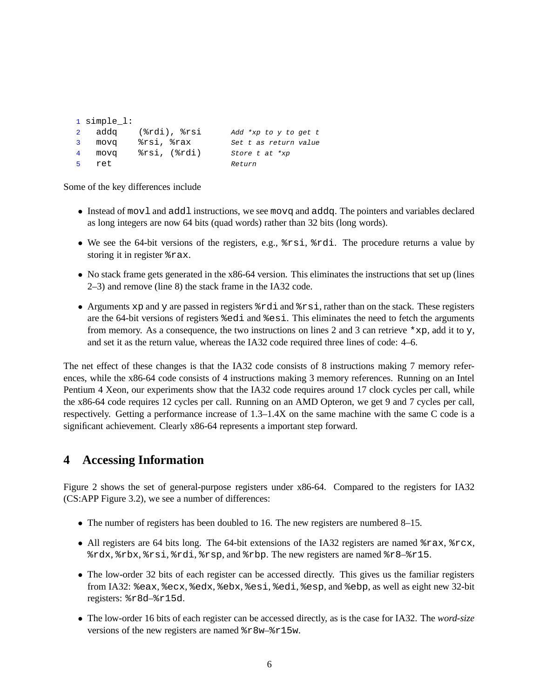```
1 simple_l:
2 addq (%rdi), %rsi Add *xp to y to get t
3 movq %rsi, %rax Set t as return value
4 movq %rsi, (%rdi) Store t at *xp
5 ret Return
```
Some of the key differences include

- Instead of mov1 and add1 instructions, we see movq and addq. The pointers and variables declared as long integers are now 64 bits (quad words) rather than 32 bits (long words).
- We see the 64-bit versions of the registers, e.g.,  $\text{\$rsi, \text{\$rdi.}}$  The procedure returns a value by storing it in register %rax.
- No stack frame gets generated in the x86-64 version. This eliminates the instructions that set up (lines 2–3) and remove (line 8) the stack frame in the IA32 code.
- Arguments xp and y are passed in registers  $\text{\textdegree}$  and  $\text{\textdegree}$  rather than on the stack. These registers are the 64-bit versions of registers %edi and %esi. This eliminates the need to fetch the arguments from memory. As a consequence, the two instructions on lines 2 and 3 can retrieve  $*_{\text{XP}}$ , add it to y, and set it as the return value, whereas the IA32 code required three lines of code: 4–6.

The net effect of these changes is that the IA32 code consists of 8 instructions making 7 memory references, while the x86-64 code consists of 4 instructions making 3 memory references. Running on an Intel Pentium 4 Xeon, our experiments show that the IA32 code requires around 17 clock cycles per call, while the x86-64 code requires 12 cycles per call. Running on an AMD Opteron, we get 9 and 7 cycles per call, respectively. Getting a performance increase of 1.3–1.4X on the same machine with the same C code is a significant achievement. Clearly x86-64 represents a important step forward.

# **4 Accessing Information**

Figure 2 shows the set of general-purpose registers under x86-64. Compared to the registers for IA32 (CS:APP Figure 3.2), we see a number of differences:

- The number of registers has been doubled to 16. The new registers are numbered 8–15.
- All registers are 64 bits long. The 64-bit extensions of the IA32 registers are named  $\text{Trax}, \text{Trcx},$ %rdx, %rbx, %rsi, %rdi, %rsp, and %rbp. The new registers are named %r8–%r15.
- The low-order 32 bits of each register can be accessed directly. This gives us the familiar registers from IA32: %eax, %ecx, %edx, %ebx, %esi, %edi, %esp, and %ebp, as well as eight new 32-bit registers: %r8d–%r15d.
- The low-order 16 bits of each register can be accessed directly, as is the case for IA32. The *word-size* versions of the new registers are named %r8w–%r15w.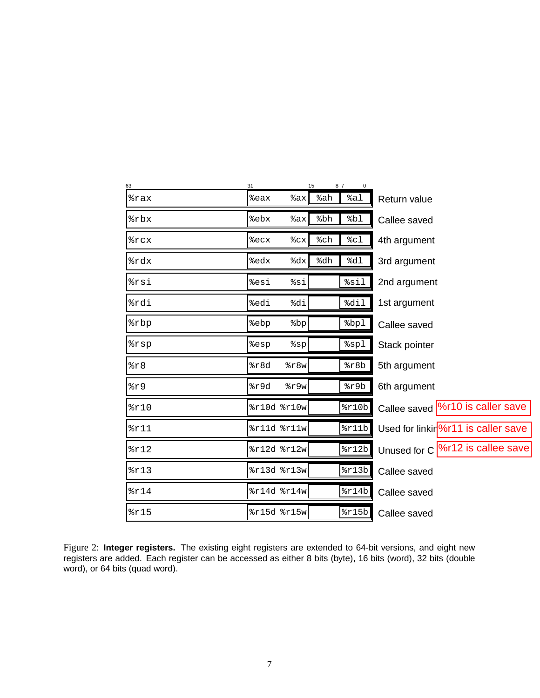| 63   | 31   |             | 15  | 87                 |                                                  |
|------|------|-------------|-----|--------------------|--------------------------------------------------|
| %rax | %eax | %ax         | %ah | %a1                | Return value                                     |
| %rbx | %ebx | %ax         | %bh | %bl                | Callee saved                                     |
| %rcx | %ecx | %cx         | %ch | 8c1                | 4th argument                                     |
| %rdx | %edx | %dx         | %dh | d1                 | 3rd argument                                     |
| %rsi | %esi | %si         |     | %sil               | 2nd argument                                     |
| %rdi | %edi | %di         |     | %dil               | 1st argument                                     |
| %rbp | %ebp | 8bp         |     | bpl                | Callee saved                                     |
| %rsp | %esp | $s$ sp      |     | spl                | Stack pointer                                    |
| z8   | 8r8d | 8r8w        |     | 8r8b               | 5th argument                                     |
| 8r9  | %r9d | $s$ r $9w$  |     | $s$ r9b            | 6th argument                                     |
| 8r10 |      | %r10d %r10w |     | $\frac{2}{2}$ r10b | Callee saved  %r10 is caller save                |
| 8r11 |      | %r11d %r11w |     | 2r11b              | Used for linkir $\frac{9}{6}$ r11 is caller save |
| 8r12 |      | %r12d %r12w |     | 2r12b              | Unused for C  %r12 is callee save                |
| 8r13 |      | %r13d %r13w |     | 2r13b              | Callee saved                                     |
| 8r14 |      | %r14d %r14w |     | $\frac{2}{2}$      | Callee saved                                     |
| 8r15 |      | %r15d %r15w |     | $\frac{2}{2}$ r15b | Callee saved                                     |

Figure 2: **Integer registers.** The existing eight registers are extended to 64-bit versions, and eight new registers are added. Each register can be accessed as either 8 bits (byte), 16 bits (word), 32 bits (double word), or 64 bits (quad word).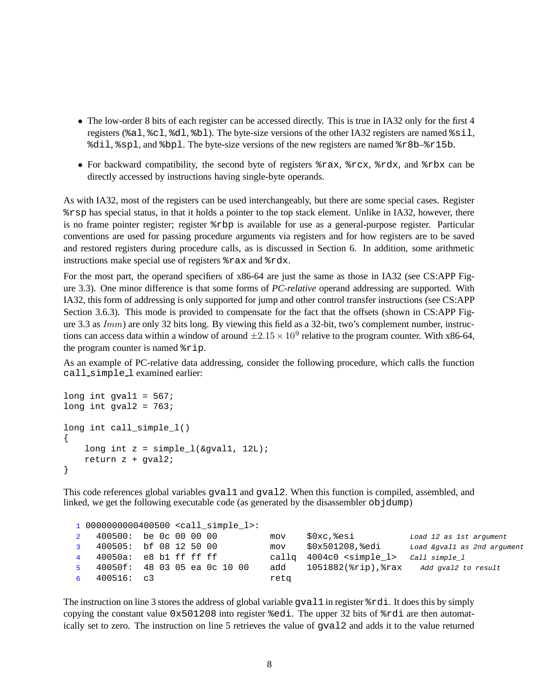- The low-order 8 bits of each register can be accessed directly. This is true in IA32 only for the first 4 registers (%al, %cl, %dl, %bl). The byte-size versions of the other IA32 registers are named %sil, %dil, %spl, and %bpl. The byte-size versions of the new registers are named %r8b–%r15b.
- For backward compatibility, the second byte of registers %rax, %rcx, %rdx, and %rbx can be directly accessed by instructions having single-byte operands.

As with IA32, most of the registers can be used interchangeably, but there are some special cases. Register %rsp has special status, in that it holds a pointer to the top stack element. Unlike in IA32, however, there is no frame pointer register; register %rbp is available for use as a general-purpose register. Particular conventions are used for passing procedure arguments via registers and for how registers are to be saved and restored registers during procedure calls, as is discussed in Section 6. In addition, some arithmetic instructions make special use of registers %rax and %rdx.

For the most part, the operand specifiers of x86-64 are just the same as those in IA32 (see CS:APP Figure 3.3). One minor difference is that some forms of *PC-relative* operand addressing are supported. With IA32, this form of addressing is only supported for jump and other control transfer instructions (see CS:APP Section 3.6.3). This mode is provided to compensate for the fact that the offsets (shown in CS:APP Figure 3.3 as Imm) are only 32 bits long. By viewing this field as a 32-bit, two's complement number, instructions can access data within a window of around  $\pm 2.15 \times 10^9$  relative to the program counter. With x86-64, the program counter is named %rip.

As an example of PC-relative data addressing, consider the following procedure, which calls the function call simple l examined earlier:

```
long int gval1 = 567;
long int gval2 = 763;
long int call simple l(){
    long int z = simple l(\&qval1, 12L);
    return z + gval2;
}
```
This code references global variables gval1 and gval2. When this function is compiled, assembled, and linked, we get the following executable code (as generated by the disassembler objdump)

|                |                        |  | 1 00000000000400500 <call 1="" simple="">:</call> |      |                                     |                             |
|----------------|------------------------|--|---------------------------------------------------|------|-------------------------------------|-----------------------------|
| $2^{\circ}$    | 400500: be 0c 00 00 00 |  |                                                   | mov  | \$0xc,%esi                          | Load 12 as 1st argument     |
| $\overline{3}$ | 400505: bf 08 12 50 00 |  |                                                   | mov  | \$0x501208,%edi                     | Load &gval1 as 2nd argument |
| $\overline{4}$ | 40050a: e8 b1 ff ff ff |  |                                                   |      | callg 4004c0 <simple l=""></simple> | Call simple l               |
| 5 <sup>1</sup> |                        |  | 40050f: 48 03 05 ea 0c 10 00                      | add  | 1051882(%rip),%rax                  | Add gval2 to result         |
| 6              | 400516: c3             |  |                                                   | retq |                                     |                             |

The instruction on line 3 stores the address of global variable gval1 in register %rdi. It does this by simply copying the constant value  $0 \times 501208$  into register  $\ell$  edi. The upper 32 bits of  $\ell$ rdi are then automatically set to zero. The instruction on line 5 retrieves the value of gval2 and adds it to the value returned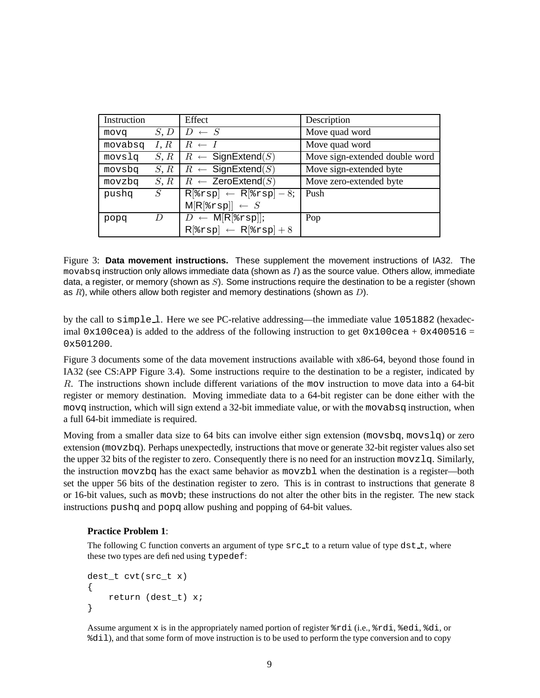| Instruction |      | Effect                                                                                                            | Description                    |
|-------------|------|-------------------------------------------------------------------------------------------------------------------|--------------------------------|
| movq        | S, D | $D \leftarrow S$                                                                                                  | Move quad word                 |
| movabsq     | I, R | $R \leftarrow I$                                                                                                  | Move quad word                 |
| movslq      | S, R | $R \leftarrow$ SignExtend(S)                                                                                      | Move sign-extended double word |
| movsbq      | S, R | $R \leftarrow$ SignExtend(S)                                                                                      | Move sign-extended byte        |
| movzbq      | S, R | $R \leftarrow$ ZeroExtend(S)                                                                                      | Move zero-extended byte        |
| pushq       | S    | $R$ <sup>[</sup> $\text{srsp}$ ] $\leftarrow$ R <sup>[<math>\text{srsp}</math>] <math>-\overline{8}</math>;</sup> | Push                           |
|             |      | $M[R[8rsp]] \leftarrow S$                                                                                         |                                |
| popq        | D    | $D \leftarrow M[R[srsp]];$                                                                                        | Pop                            |
|             |      | $R$ [ $\text{srsp}$ ] $\leftarrow$ $R$ [ $\text{srsp}$ ] + 8                                                      |                                |

Figure 3: **Data movement instructions.** These supplement the movement instructions of IA32. The  $m$ ovabsq instruction only allows immediate data (shown as  $I$ ) as the source value. Others allow, immediate data, a register, or memory (shown as  $S$ ). Some instructions require the destination to be a register (shown as  $R$ ), while others allow both register and memory destinations (shown as  $D$ ).

by the call to simple 1. Here we see PC-relative addressing—the immediate value 1051882 (hexadecimal 0x100cea) is added to the address of the following instruction to get 0x100cea + 0x400516 = 0x501200.

Figure 3 documents some of the data movement instructions available with x86-64, beyond those found in IA32 (see CS:APP Figure 3.4). Some instructions require to the destination to be a register, indicated by R. The instructions shown include different variations of the mov instruction to move data into a 64-bit register or memory destination. Moving immediate data to a 64-bit register can be done either with the movq instruction, which will sign extend a 32-bit immediate value, or with the movabsq instruction, when a full 64-bit immediate is required.

Moving from a smaller data size to 64 bits can involve either sign extension (movsbq, movslq) or zero extension (movzbq). Perhaps unexpectedly, instructions that move or generate 32-bit register values also set the upper 32 bits of the register to zero. Consequently there is no need for an instruction movzlq. Similarly, the instruction movzbq has the exact same behavior as movzbl when the destination is a register—both set the upper 56 bits of the destination register to zero. This is in contrast to instructions that generate 8 or 16-bit values, such as movb; these instructions do not alter the other bits in the register. The new stack instructions pushq and popq allow pushing and popping of 64-bit values.

### **Practice Problem 1**:

The following C function converts an argument of type  $src\_t$  to a return value of type dst $_t$ , where these two types are defined using typedef:

```
dest_t cvt(src_t x)
{
    return (dest_t) x;
}
```
Assume argument x is in the appropriately named portion of register %rdi (i.e., %rdi, %edi, %di, or %dil), and that some form of move instruction is to be used to perform the type conversion and to copy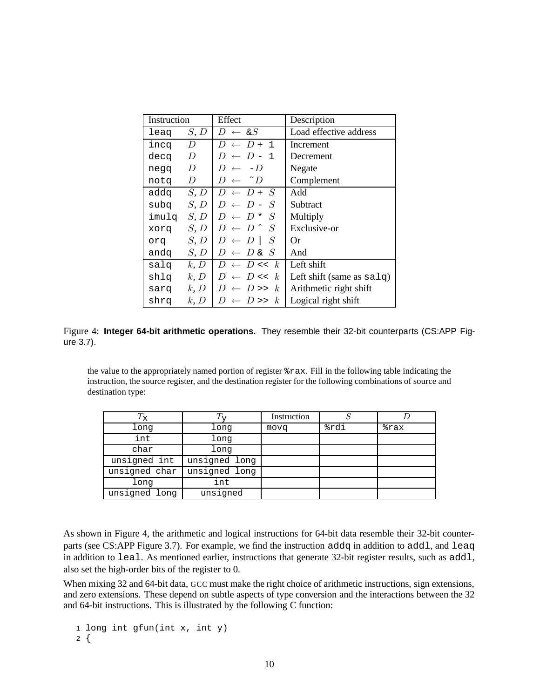| Instruction  |                  | Effect                                | Description                         |
|--------------|------------------|---------------------------------------|-------------------------------------|
| leag         | S, D             | $D \leftarrow \& S$                   | Load effective address              |
| incq         | $\boldsymbol{D}$ | $\leftarrow$ D + 1<br>D               | Increment                           |
| decq         | D                | $\leftarrow$ D – 1<br>D               | Decrement                           |
| negq         | $\boldsymbol{D}$ | $-D$<br>D<br>$\leftarrow$             | Negate                              |
| notq         | D                | $\sim$ D<br>$D \leftarrow$            | Complement                          |
| addq         | S, D             | $D \leftarrow D + S$                  | Add                                 |
| subq         | S, D             | $\leftarrow$ D –<br>- S<br>D          | Subtract                            |
| imulq $S, D$ |                  | S<br>$\leftarrow$ D <sup>*</sup><br>D | Multiply                            |
| prox         | S, D             | $-S$<br>$\leftarrow$ D $\hat{ }$<br>D | Exclusive-or                        |
| orq          | S, D             | S<br>$\leftarrow D$<br>D              | Оr                                  |
| andq         | S, D             | $\leftarrow D$ & $S$<br>D             | And                                 |
| salq         | k, D             | $\leftarrow$ D << k<br>D              | Left shift                          |
| shlq         | k, D             | $D \ll k$<br>D                        | Left shift (same as $\text{salg}$ ) |
| sarq         | k, D             | $\leftarrow$ D >> k<br>$\prime$       | Arithmetic right shift              |
| shrq         | k, D             | $D \gg$<br>k <sub>i</sub>             | Logical right shift                 |

Figure 4: **Integer 64-bit arithmetic operations.** They resemble their 32-bit counterparts (CS:APP Figure 3.7).

the value to the appropriately named portion of register %rax. Fill in the following table indicating the instruction, the source register, and the destination register for the following combinations of source and destination type:

| $T_{\rm X}$   |               | Instruction |      |      |
|---------------|---------------|-------------|------|------|
| long          | long          | movq        | %rdi | %rax |
| int           | long          |             |      |      |
| char          | long          |             |      |      |
| unsigned int  | unsigned long |             |      |      |
| unsigned char | unsigned long |             |      |      |
| long          | int           |             |      |      |
| unsigned long | unsigned      |             |      |      |

As shown in Figure 4, the arithmetic and logical instructions for 64-bit data resemble their 32-bit counterparts (see CS:APP Figure 3.7). For example, we find the instruction addq in addition to addl, and leaq in addition to leal. As mentioned earlier, instructions that generate 32-bit register results, such as addl, also set the high-order bits of the register to 0.

When mixing 32 and 64-bit data, GCC must make the right choice of arithmetic instructions, sign extensions, and zero extensions. These depend on subtle aspects of type conversion and the interactions between the 32 and 64-bit instructions. This is illustrated by the following C function:

1 long int gfun(int x, int y) 2 {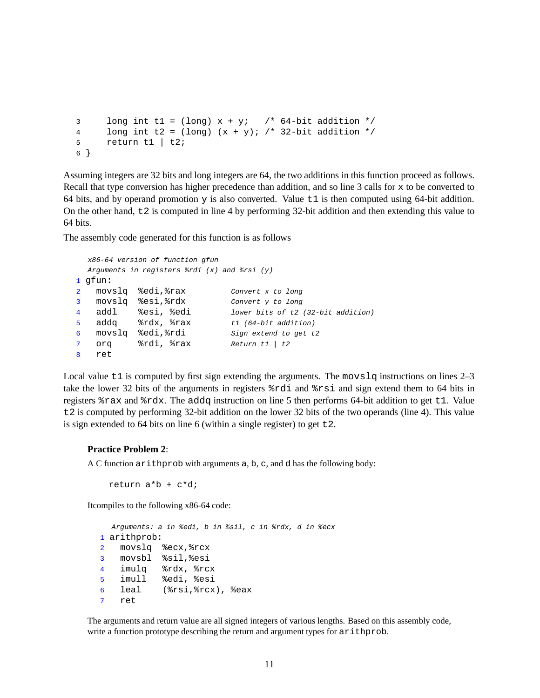```
3 long int t1 = (long) x + yi /* 64-bit addition */
4 long int t2 = (long) (x + y); /* 32-bit addition */
5 return t1 | t2;
6 }
```
Assuming integers are 32 bits and long integers are 64, the two additions in this function proceed as follows. Recall that type conversion has higher precedence than addition, and so line 3 calls for x to be converted to 64 bits, and by operand promotion y is also converted. Value t1 is then computed using 64-bit addition. On the other hand,  $\pm 2$  is computed in line 4 by performing 32-bit addition and then extending this value to 64 bits.

The assembly code generated for this function is as follows

```
x86-64 version of function gfun
  Arguments in registers \frac{2}{3}rdi (x) and \frac{2}{3}rsi (y)
1 gfun:
2 movslq %edi, %rax Convert x to long
3 movslq %esi,%rdx Convert y to long
4 addl %esi, %edi lower bits of t2 (32-bit addition)
5 addq %rdx, %rax t1 (64-bit addition)
6 movslq %edi,%rdi Sign extend to get t2
7 orq %rdi, %rax Return t1 | t2
8 ret
```
Local value  $t_1$  is computed by first sign extending the arguments. The movs  $l$ q instructions on lines  $2-3$ take the lower 32 bits of the arguments in registers %rdi and %rsi and sign extend them to 64 bits in registers %rax and %rdx. The addq instruction on line 5 then performs 64-bit addition to get t1. Value t2 is computed by performing 32-bit addition on the lower 32 bits of the two operands (line 4). This value is sign extended to 64 bits on line 6 (within a single register) to get  $\text{\texttt{t2}}$ .

#### **Practice Problem 2**:

A C function arithprob with arguments a, b, c, and d has the following body:

```
return a*b + c*d;
```
Itcompiles to the following x86-64 code:

```
Arguments: a in %edi, b in %sil, c in %rdx, d in %ecx
1 arithprob:
2 movslq %ecx,%rcx
3 movsbl %sil,%esi
4 imulq %rdx, %rcx
5 imull %edi, %esi
6 leal (%rsi,%rcx), %eax
7 ret
```
The arguments and return value are all signed integers of various lengths. Based on this assembly code, write a function prototype describing the return and argument types for arithprob.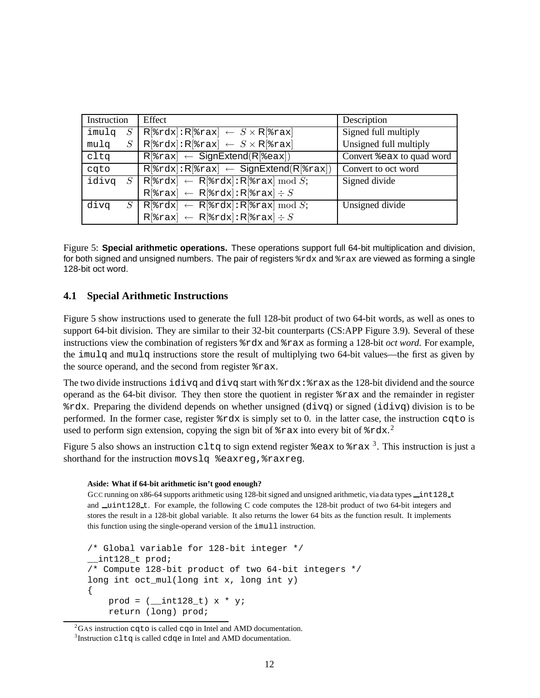| Instruction   | Effect                                                                                                                                                                                      | Description               |
|---------------|---------------------------------------------------------------------------------------------------------------------------------------------------------------------------------------------|---------------------------|
| imulq<br>$S-$ | $R$ <sup>[</sup> $rdx$ ]: $R$ <sup>[<math>2</math></sup> $rax$ ] $\leftarrow$ $S \times R$ [ $2$ $rax$ ]                                                                                    | Signed full multiply      |
| S<br>mulq     | $R$ <sup>[</sup> $\text{grad}:R$ [ $\text{grad} \leftarrow S \times R$ [ $\text{grad}$ ]                                                                                                    | Unsigned full multiply    |
| cltq          | $R$ <sup>[<math>\text{grav}</math>] <math>\leftarrow</math> SignExtend(R[<math>\text{Res}</math>])</sup>                                                                                    | Convert %eax to quad word |
| cqto          | $R$ [ $\text{rad } R$ ]: R[ $\text{rad } \leftarrow$ SignExtend(R[ $\text{rad }$ ])                                                                                                         | Convert to oct word       |
| idivq         | $\boxed{S \mid \mathsf{R}[\$ \texttt{r} \texttt{d} \texttt{x}] \leftarrow \mathsf{R}[\$ \texttt{r} \texttt{d} \texttt{x}] \colon \mathsf{R}[\$ \texttt{r} \texttt{a} \texttt{x}] \bmod S;}$ | Signed divide             |
|               | $R$ <sup>[</sup> $\text{arax}$ ] $\leftarrow$ $R$ [ $\text{arax}$ ] : $R$ [ $\text{arax}$ ] $\div S$                                                                                        |                           |
| divq          | $S \mid \mathsf{R}[\text{grad}x] \leftarrow \mathsf{R}[\text{grad}x] \colon \mathsf{R}[\text{grad}x] \mod S;$                                                                               | Unsigned divide           |
|               | $R$ <sup>[</sup> $\text{arax}$ ] $\leftarrow$ $R$ [ $\text{ardx}$ ] : $R$ [ $\text{arax}$ ] $\div S$                                                                                        |                           |

Figure 5: **Special arithmetic operations.** These operations support full 64-bit multiplication and division, for both signed and unsigned numbers. The pair of registers  $\text{grad } \text{grad } \text{d}$  and  $\text{grad } \text{d}$  are viewed as forming a single 128-bit oct word.

## **4.1 Special Arithmetic Instructions**

Figure 5 show instructions used to generate the full 128-bit product of two 64-bit words, as well as ones to support 64-bit division. They are similar to their 32-bit counterparts (CS:APP Figure 3.9). Several of these instructions view the combination of registers %rdx and %rax as forming a 128-bit *oct word*. For example, the imulq and mulq instructions store the result of multiplying two 64-bit values—the first as given by the source operand, and the second from register %rax.

The two divide instructions  $i$ d $i$ vq and d $i$ vq start with  $r$ dx:  $r$ ax as the 128-bit dividend and the source operand as the 64-bit divisor. They then store the quotient in register %rax and the remainder in register %rdx. Preparing the dividend depends on whether unsigned (divq) or signed (idivq) division is to be performed. In the former case, register %rdx is simply set to 0. in the latter case, the instruction cqto is used to perform sign extension, copying the sign bit of  $*\text{rax}$  into every bit of  $*\text{rdx}$ .

Figure 5 also shows an instruction  ${\tt cltg}$  to sign extend register %eax to %rax  $^3$ . This instruction is just a shorthand for the instruction movslq %eaxreq, %raxreq.

#### **Aside: What if 64-bit arithmetic isn't good enough?**

GCC running on x86-64 supports arithmetic using 128-bit signed and unsigned arithmetic, via data types  $\pm$ int128  $\pm$ and \_uint128\_t. For example, the following C code computes the 128-bit product of two 64-bit integers and stores the result in a 128-bit global variable. It also returns the lower 64 bits as the function result. It implements this function using the single-operand version of the imull instruction.

```
/* Global variable for 128-bit integer */
__int128_t prod;
/* Compute 128-bit product of two 64-bit integers */
long int oct_mul(long int x, long int y)
{
    prod = (-int128_t) x * y;return (long) prod;
```
 ${}^{2}$ GAS instruction cqto is called cqo in Intel and AMD documentation.

 $3$ Instruction cltq is called cdqe in Intel and AMD documentation.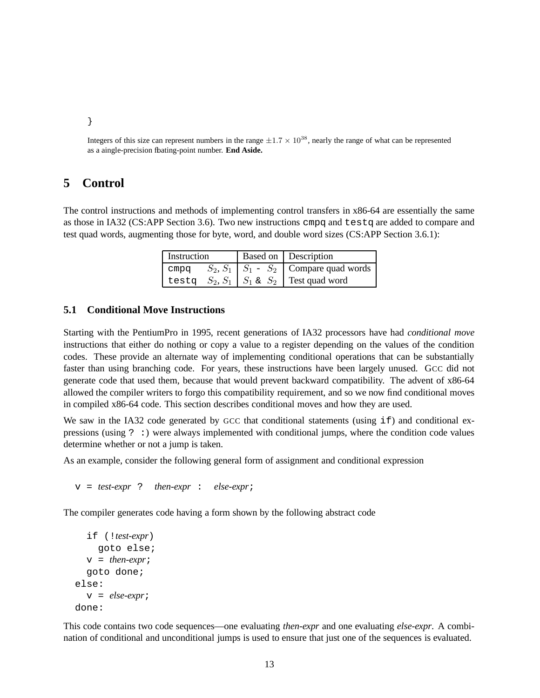}

Integers of this size can represent numbers in the range  $\pm 1.7 \times 10^{38}$ , nearly the range of what can be represented as a aingle-precision floating-point number. **End Aside.**

## **5 Control**

The control instructions and methods of implementing control transfers in x86-64 are essentially the same as those in IA32 (CS:APP Section 3.6). Two new instructions cmpq and testq are added to compare and test quad words, augmenting those for byte, word, and double word sizes (CS:APP Section 3.6.1):

| Instruction |  | <b>Based on Description</b>                       |
|-------------|--|---------------------------------------------------|
|             |  | cmpq $S_2, S_1   S_1 - S_2  $ Compare quad words  |
|             |  | testq $S_2, S_1$   $S_1$ & $S_2$   Test quad word |

### **5.1 Conditional Move Instructions**

Starting with the PentiumPro in 1995, recent generations of IA32 processors have had *conditional move* instructions that either do nothing or copy a value to a register depending on the values of the condition codes. These provide an alternate way of implementing conditional operations that can be substantially faster than using branching code. For years, these instructions have been largely unused. GCC did not generate code that used them, because that would prevent backward compatibility. The advent of x86-64 allowed the compiler writers to forgo this compatibility requirement, and so we now find conditional moves in compiled x86-64 code. This section describes conditional moves and how they are used.

We saw in the IA32 code generated by GCC that conditional statements (using  $\pm$ f) and conditional expressions (using ? :) were always implemented with conditional jumps, where the condition code values determine whether or not a jump is taken.

As an example, consider the following general form of assignment and conditional expression

v = *test-expr* ? *then-expr* : *else-expr*;

The compiler generates code having a form shown by the following abstract code

```
if (!test-expr)
     goto else;
  v = then-expr;
  goto done;
else:
  v = else-expr;
done:
```
This code contains two code sequences—one evaluating *then-expr* and one evaluating *else-expr*. A combination of conditional and unconditional jumps is used to ensure that just one of the sequences is evaluated.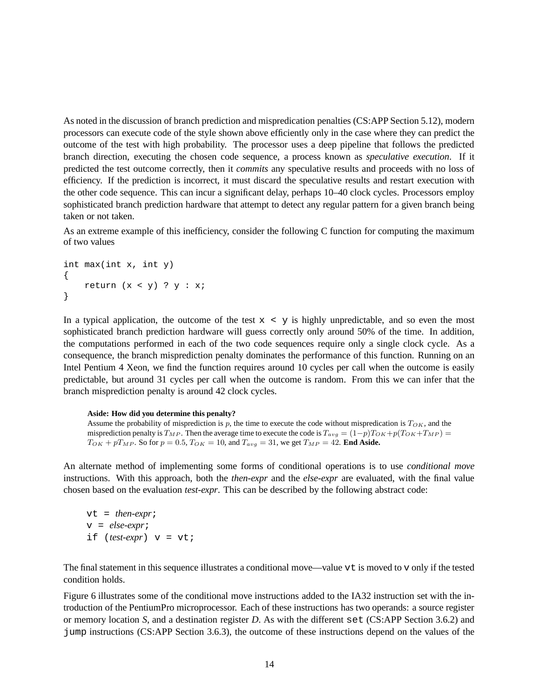As noted in the discussion of branch prediction and mispredication penalties (CS:APP Section 5.12), modern processors can execute code of the style shown above efficiently only in the case where they can predict the outcome of the test with high probability. The processor uses a deep pipeline that follows the predicted branch direction, executing the chosen code sequence, a process known as *speculative execution*. If it predicted the test outcome correctly, then it *commits* any speculative results and proceeds with no loss of efficiency. If the prediction is incorrect, it must discard the speculative results and restart execution with the other code sequence. This can incur a significant delay, perhaps 10–40 clock cycles. Processors employ sophisticated branch prediction hardware that attempt to detect any regular pattern for a given branch being taken or not taken.

As an extreme example of this inefficiency, consider the following C function for computing the maximum of two values

int max(int x, int y) { return  $(x < y)$  ?  $y : x$ ; }

In a typical application, the outcome of the test  $x < y$  is highly unpredictable, and so even the most sophisticated branch prediction hardware will guess correctly only around 50% of the time. In addition, the computations performed in each of the two code sequences require only a single clock cycle. As a consequence, the branch misprediction penalty dominates the performance of this function. Running on an Intel Pentium 4 Xeon, we find the function requires around 10 cycles per call when the outcome is easily predictable, but around 31 cycles per call when the outcome is random. From this we can infer that the branch misprediction penalty is around 42 clock cycles.

#### **Aside: How did you determine this penalty?**

Assume the probability of misprediction is p, the time to execute the code without mispredication is  $T_{OK}$ , and the misprediction penalty is  $T_{MP}$ . Then the average time to execute the code is  $T_{avg} = (1-p)T_{OK} + p(T_{OK} + T_{MP}) =$  $T_{OK} + pT_{MP}$ . So for  $p = 0.5$ ,  $T_{OK} = 10$ , and  $T_{avg} = 31$ , we get  $T_{MP} = 42$ . **End Aside.** 

An alternate method of implementing some forms of conditional operations is to use *conditional move* instructions. With this approach, both the *then-expr* and the *else-expr* are evaluated, with the final value chosen based on the evaluation *test-expr*. This can be described by the following abstract code:

vt = *then-expr*; v = *else-expr*; if (*test-expr*) v = vt;

The final statement in this sequence illustrates a conditional move—value vt is moved to v only if the tested condition holds.

Figure 6 illustrates some of the conditional move instructions added to the IA32 instruction set with the introduction of the PentiumPro microprocessor. Each of these instructions has two operands: a source register or memory location *S*, and a destination register *D*. As with the different set (CS:APP Section 3.6.2) and jump instructions (CS:APP Section 3.6.3), the outcome of these instructions depend on the values of the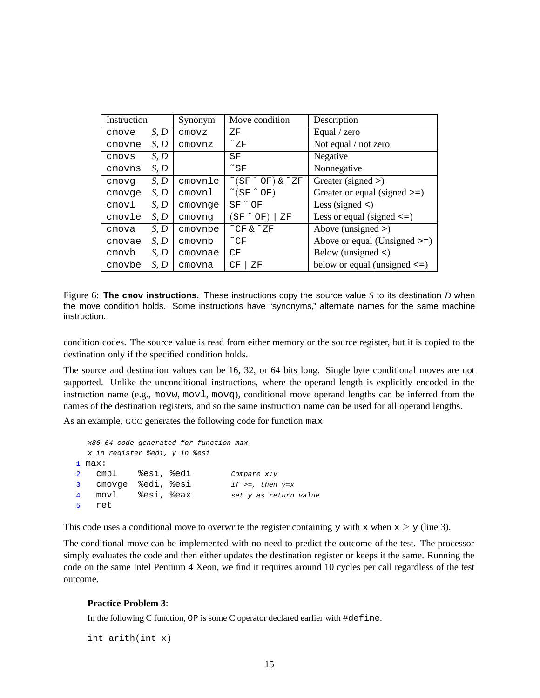| Instruction |      | Synonym | Move condition                                             | Description                       |
|-------------|------|---------|------------------------------------------------------------|-----------------------------------|
| cmove       | S, D | cmovz   | ΖF                                                         | Equal / zero                      |
| cmovne      | S, D | cmovnz  | $\tilde{Z}$ $\overline{Z}$ $\overline{F}$                  | Not equal / not zero              |
| cmovs       | S, D |         | SF                                                         | Negative                          |
| cmovns      | S, D |         | $\tilde{\phantom{a}}$ SF                                   | Nonnegative                       |
| cmovq       | S, D | cmovnle | $(\text{SF} \uparrow \text{OF}) \uplus \uparrow \text{ZF}$ | Greater (signed $>$ )             |
| cmovqe      | S, D | cmovnl  | $\tilde{C}(SF \cap OF)$                                    | Greater or equal (signed $\ge$ =) |
| cmovl       | S, D | cmovnge | $SF^{\wedge}$ OF                                           | Less (signed $\lt$ )              |
| cmovle      | S, D | cmovnq  | $S_F \cap OF$<br>ΖF                                        | Less or equal (signed $\le$ =)    |
| cmova       | S, D | cmovnbe | $^{\sim}$ CF & $^{\sim}$ ZF                                | Above (unsigned $>$ )             |
| cmovae      | S, D | cmovnb  | $\tilde{C}$ F                                              | Above or equal (Unsigned $\ge$ =) |
| cmovb       | S, D | cmovnae | CF                                                         | Below (unsigned $\langle$ )       |
| cmovbe      | S, D | cmovna  | ΖF<br>CF                                                   | below or equal (unsigned $\leq$ ) |

Figure 6: **The cmov instructions.** These instructions copy the source value *S* to its destination *D* when the move condition holds. Some instructions have "synonyms," alternate names for the same machine instruction.

condition codes. The source value is read from either memory or the source register, but it is copied to the destination only if the specified condition holds.

The source and destination values can be 16, 32, or 64 bits long. Single byte conditional moves are not supported. Unlike the unconditional instructions, where the operand length is explicitly encoded in the instruction name (e.g., movw, mov1, movq), conditional move operand lengths can be inferred from the names of the destination registers, and so the same instruction name can be used for all operand lengths.

As an example, GCC generates the following code for function max

```
x86-64 code generated for function max
  x in register %edi, y in %esi
1 max:
2 cmpl %esi, %edi Compare x:y
3 cmovge %edi, %esi if >=, then y=x
4 movl %esi, %eax set y as return value
5 ret
```
This code uses a conditional move to overwrite the register containing y with x when  $x \ge y$  (line 3).

The conditional move can be implemented with no need to predict the outcome of the test. The processor simply evaluates the code and then either updates the destination register or keeps it the same. Running the code on the same Intel Pentium 4 Xeon, we find it requires around 10 cycles per call regardless of the test outcome.

#### **Practice Problem 3**:

In the following C function, OP is some C operator declared earlier with #define.

int arith(int x)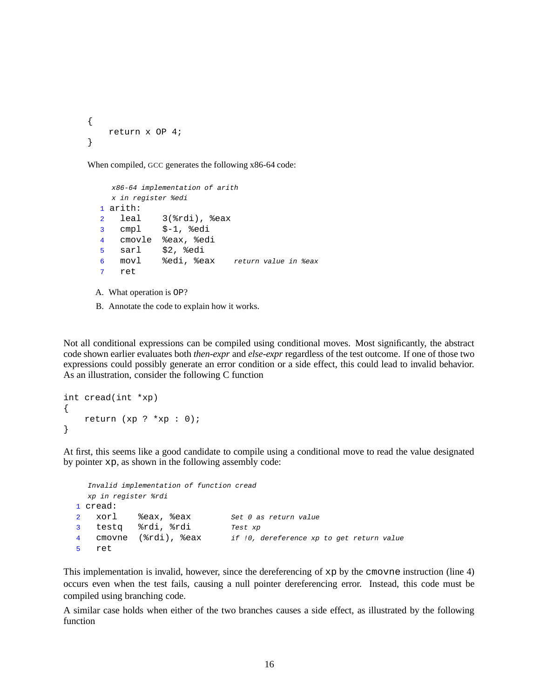```
{
    return x OP 4;
}
```
When compiled, GCC generates the following x86-64 code:

```
x86-64 implementation of arith
  x in register %edi
1 arith:
 2 leal 3(%rdi), %eax
 3 cmpl $-1, %edi
 4 cmovle %eax, %edi
 5 sarl $2, %edi
 6 movl %edi, %eax return value in %eax
7 ret
A. What operation is OP?
```
B. Annotate the code to explain how it works.

Not all conditional expressions can be compiled using conditional moves. Most significantly, the abstract code shown earlier evaluates both *then-expr* and *else-expr* regardless of the test outcome. If one of those two expressions could possibly generate an error condition or a side effect, this could lead to invalid behavior. As an illustration, consider the following C function

```
int cread(int *xp)
{
    return (xp ? *xp : 0);}
```
At first, this seems like a good candidate to compile using a conditional move to read the value designated by pointer xp, as shown in the following assembly code:

```
Invalid implementation of function cread
 xp in register %rdi
1 cread:
2 xorl %eax, %eax Set 0 as return value
3 testq %rdi, %rdi Test xp
4 cmovne (%rdi), %eax if !0, dereference xp to get return value
5 ret
```
This implementation is invalid, however, since the dereferencing of xp by the cmovne instruction (line 4) occurs even when the test fails, causing a null pointer dereferencing error. Instead, this code must be compiled using branching code.

A similar case holds when either of the two branches causes a side effect, as illustrated by the following function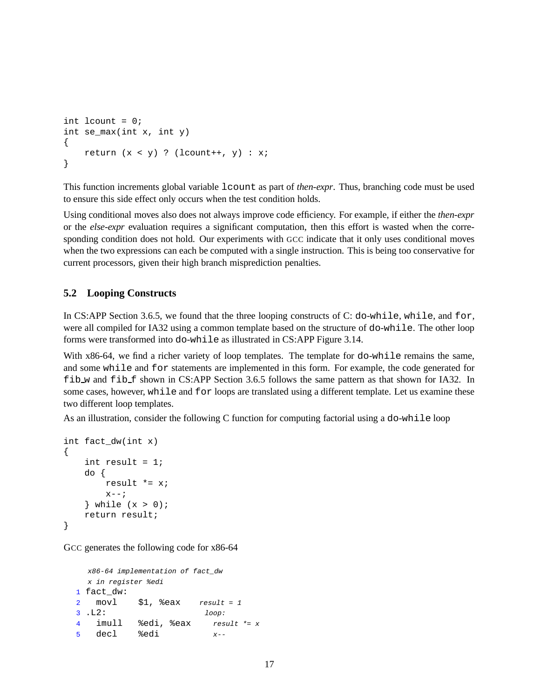```
int lcount = 0;
int se_max(int x, int y)
{
    return (x < y) ? (lcount++, y) : x;
}
```
This function increments global variable lcount as part of *then-expr*. Thus, branching code must be used to ensure this side effect only occurs when the test condition holds.

Using conditional moves also does not always improve code efficiency. For example, if either the *then-expr* or the *else-expr* evaluation requires a significant computation, then this effort is wasted when the corresponding condition does not hold. Our experiments with GCC indicate that it only uses conditional moves when the two expressions can each be computed with a single instruction. This is being too conservative for current processors, given their high branch misprediction penalties.

## **5.2 Looping Constructs**

In CS:APP Section 3.6.5, we found that the three looping constructs of C: do-while, while, and for, were all compiled for IA32 using a common template based on the structure of do-while. The other loop forms were transformed into do-while as illustrated in CS:APP Figure 3.14.

With x86-64, we find a richer variety of loop templates. The template for do-while remains the same, and some while and for statements are implemented in this form. For example, the code generated for fib w and fib f shown in CS:APP Section 3.6.5 follows the same pattern as that shown for IA32. In some cases, however, while and for loops are translated using a different template. Let us examine these two different loop templates.

As an illustration, consider the following C function for computing factorial using a do-while loop

```
int fact_dw(int x)
{
    int result = 1;
    do {
        result *= x;
        x--;} while (x > 0);
    return result;
}
```
GCC generates the following code for  $x86-64$ 

```
x86-64 implementation of fact_dw
 x in register %edi
1 fact_dw:
2 movl $1, \text{seax} result = 13 .L2: loop:
4 imull %edi, %eax result *= x
5 decl %edi x--
```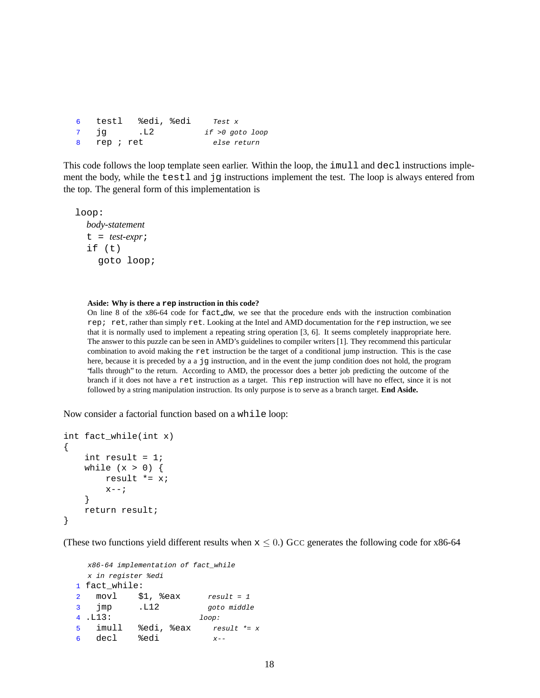6 testl %edi, %edi Test x 7 jg .L2 if >0 goto loop 8 rep ; ret else return

This code follows the loop template seen earlier. Within the loop, the imull and decl instructions implement the body, while the testl and jg instructions implement the test. The loop is always entered from the top. The general form of this implementation is

loop:

```
body-statement
t = test-expr;
if (t)
  goto loop;
```
#### **Aside: Why is there a rep instruction in this code?**

On line 8 of the x86-64 code for fact dw, we see that the procedure ends with the instruction combination rep; ret, rather than simply ret. Looking at the Intel and AMD documentation for the rep instruction, we see that it is normally used to implement a repeating string operation [3, 6]. It seems completely inappropriate here. The answer to this puzzle can be seen in AMD's guidelines to compiler writers [1]. They recommend this particular combination to avoid making the ret instruction be the target of a conditional jump instruction. This is the case here, because it is preceded by a a jg instruction, and in the event the jump condition does not hold, the program "falls through" to the return. According to AMD, the processor does a better job predicting the outcome of the branch if it does not have a ret instruction as a target. This rep instruction will have no effect, since it is not followed by a string manipulation instruction. Its only purpose is to serve as a branch target. **End Aside.**

Now consider a factorial function based on a while loop:

```
int fact_while(int x)
{
    int result = 1;
    while (x > 0) {
        result *= x;
        x--;}
    return result;
}
```
(These two functions yield different results when  $x \le 0$ .) GCC generates the following code for x86-64

```
x86-64 implementation of fact_while
 x in register %edi
1 fact_while:
2 movl $1, %eax result = 1
3 jmp .L12 goto middle
4 .L13: loop:
5 imull %edi, %eax result \neq x6 \text{ decl} % \text{ed}i x--
```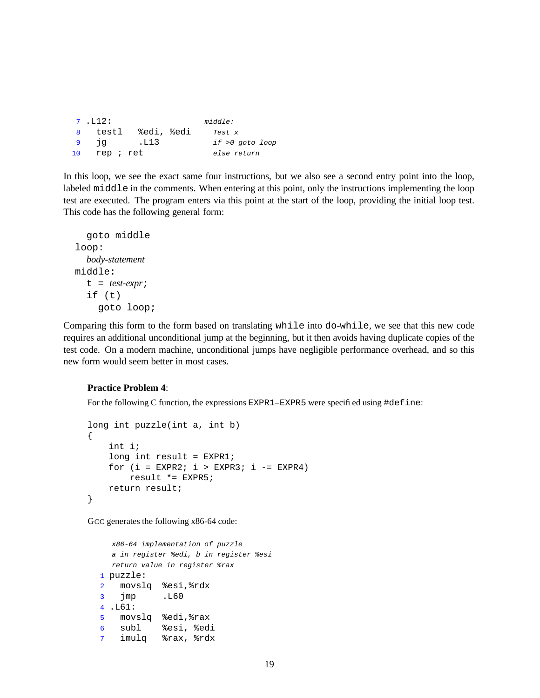```
7 .L12: middle:
8 testl %edi, %edi Test x
9 jg .L13 if >0 goto loop
10 rep ; ret else return
```
In this loop, we see the exact same four instructions, but we also see a second entry point into the loop, labeled middle in the comments. When entering at this point, only the instructions implementing the loop test are executed. The program enters via this point at the start of the loop, providing the initial loop test. This code has the following general form:

```
goto middle
loop:
  body-statement
middle:
  t = test-expr;
  if (t)
    goto loop;
```
Comparing this form to the form based on translating while into do-while, we see that this new code requires an additional unconditional jump at the beginning, but it then avoids having duplicate copies of the test code. On a modern machine, unconditional jumps have negligible performance overhead, and so this new form would seem better in most cases.

### **Practice Problem 4**:

For the following C function, the expressions EXPR1–EXPR5 were specified using #define:

```
long int puzzle(int a, int b)
{
    int i;
   long int result = EXPR1;
    for (i = EXPR2; i > EXPR3; i -= EXPR4)result *= EXPR5;
   return result;
}
```
GCC generates the following x86-64 code:

```
x86-64 implementation of puzzle
  a in register %edi, b in register %esi
 return value in register %rax
1 puzzle:
2 movslq %esi,%rdx
3 jmp .L60
4 .L61:
5 movslq %edi,%rax
6 subl %esi, %edi
7 imulq %rax, %rdx
```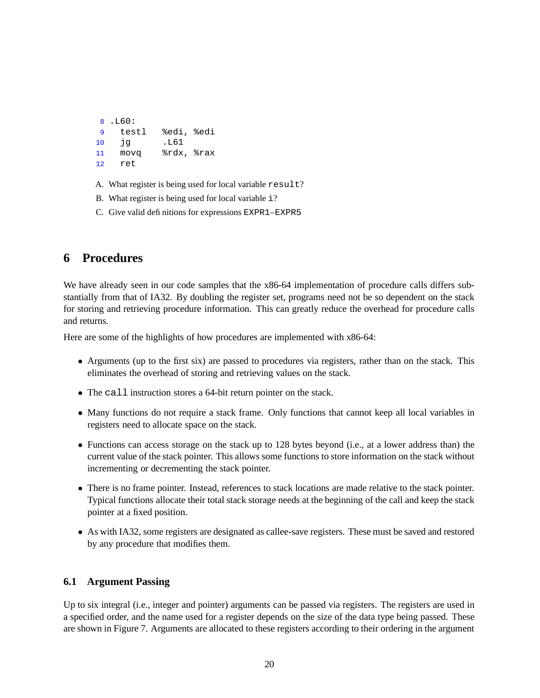```
8 .L60:
9 testl %edi, %edi
10 jg .L61
11 movq %rdx, %rax
12 ret
```
- A. What register is being used for local variable result?
- B. What register is being used for local variable i?
- C. Give valid definitions for expressions EXPR1–EXPR5

# **6 Procedures**

We have already seen in our code samples that the x86-64 implementation of procedure calls differs substantially from that of IA32. By doubling the register set, programs need not be so dependent on the stack for storing and retrieving procedure information. This can greatly reduce the overhead for procedure calls and returns.

Here are some of the highlights of how procedures are implemented with x86-64:

- Arguments (up to the first six) are passed to procedures via registers, rather than on the stack. This eliminates the overhead of storing and retrieving values on the stack.
- The call instruction stores a 64-bit return pointer on the stack.
- Many functions do not require a stack frame. Only functions that cannot keep all local variables in registers need to allocate space on the stack.
- Functions can access storage on the stack up to 128 bytes beyond (i.e., at a lower address than) the current value of the stack pointer. This allows some functions to store information on the stack without incrementing or decrementing the stack pointer.
- There is no frame pointer. Instead, references to stack locations are made relative to the stack pointer. Typical functions allocate their total stack storage needs at the beginning of the call and keep the stack pointer at a fixed position.
- As with IA32, some registers are designated as callee-save registers. These must be saved and restored by any procedure that modifies them.

## **6.1 Argument Passing**

Up to six integral (i.e., integer and pointer) arguments can be passed via registers. The registers are used in a specified order, and the name used for a register depends on the size of the data type being passed. These are shown in Figure 7. Arguments are allocated to these registers according to their ordering in the argument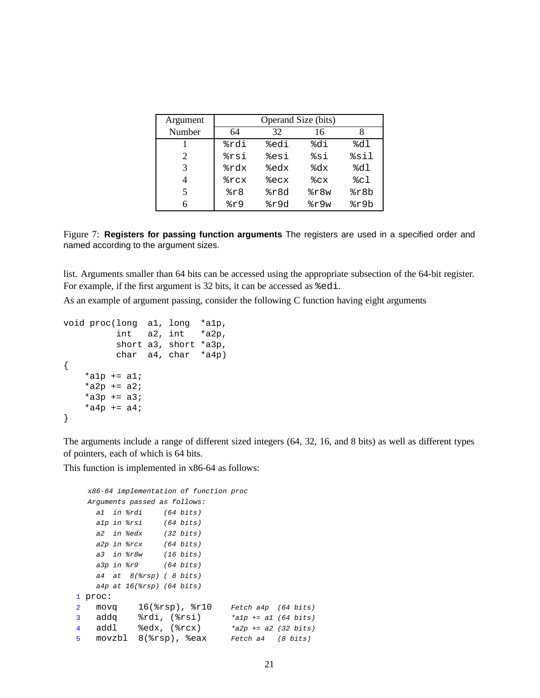| Argument | Operand Size (bits) |      |      |      |  |
|----------|---------------------|------|------|------|--|
| Number   | 64                  | 32   | 16   | 8    |  |
|          | %rdi                | %edi | %di  | %dl  |  |
| 2        | %rsi                | %esi | %si  | %sil |  |
| 3        | %rdx                | %edx | kdx  | %dl  |  |
| 4        | %rcx                | %ecx | ៖cx  | %cl  |  |
| 5        | 8r8                 | %r8d | 8r8w | %r8b |  |
| 6        | kr9                 | %r9d | %r9w | %r9b |  |

Figure 7: **Registers for passing function arguments** The registers are used in a specified order and named according to the argument sizes.

list. Arguments smaller than 64 bits can be accessed using the appropriate subsection of the 64-bit register. For example, if the first argument is 32 bits, it can be accessed as  $\text{\textdegree}=$ edi.

As an example of argument passing, consider the following C function having eight arguments

```
void proc(long a1, long *a1p,
          int a2, int *a2p,
          short a3, short *a3p,
         char a4, char *a4p)
{
    *a1p += a1;
    *a2p += a2;
    *a3p += a3;
    *a4p += a4;
}
```
The arguments include a range of different sized integers (64, 32, 16, and 8 bits) as well as different types of pointers, each of which is 64 bits.

This function is implemented in x86-64 as follows:

```
x86-64 implementation of function proc
  Arguments passed as follows:
    a1 in %rdi (64 bits)
    a1p in %rsi (64 bits)
    a2 in %edx (32 bits)
    a2p in %rcx (64 bits)
    a3 in %r8w (16 bits)
    a3p in %r9 (64 bits)
    a4 at 8(8rsp) ( 8 bits)
    a4p at 16(%rsp) (64 bits)
1 proc:
2 movq 16(%rsp), %r10 Fetch a4p (64 bits)
3 addq \text{ordi}, (\text{3} \text{rsi}) *alp += al (64 bits)<br>4 addl \text{3} \text{edx}, (\text{3} \text{rcx}) *a2p += a2 (32 bits)
4 addl %edx, (%rcx) *a2p += a2 (32 bits)
5 movzbl 8(%rsp), %eax Fetch a4 (8 bits)
```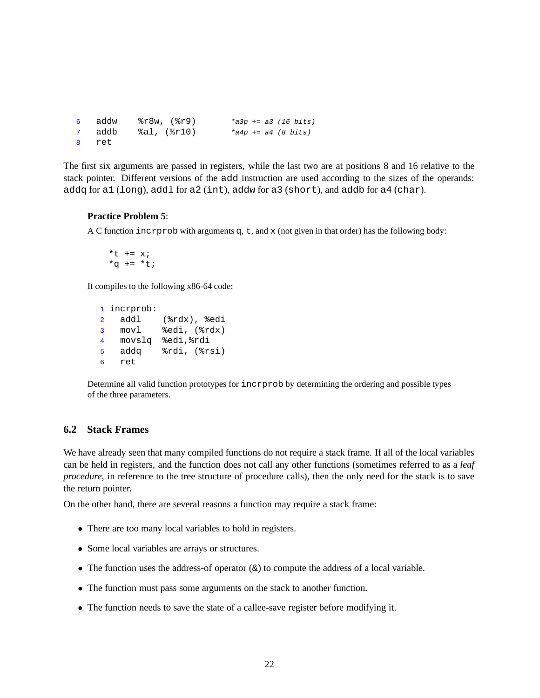```
6 addw %r8w, (%r9) *a3p += a3 (16 bits)
7 addb %al, (%r10) *a4p += a4 (8 bits)
8 ret
```
The first six arguments are passed in registers, while the last two are at positions 8 and 16 relative to the stack pointer. Different versions of the add instruction are used according to the sizes of the operands: addq for a1 (long), addl for a2 (int), addw for a3 (short), and addb for a4 (char).

### **Practice Problem 5**:

A C function increase with arguments  $q$ ,  $t$ , and  $x$  (not given in that order) has the following body:

\*t  $+= x;$  $*q$  +=  $*t;$ 

It compiles to the following x86-64 code:

```
1 incrprob:
2 addl (%rdx), %edi
3 movl %edi, (%rdx)
4 movslq %edi,%rdi
5 addq %rdi, (%rsi)
6 ret
```
Determine all valid function prototypes for incrprob by determining the ordering and possible types of the three parameters.

### **6.2 Stack Frames**

We have already seen that many compiled functions do not require a stack frame. If all of the local variables can be held in registers, and the function does not call any other functions (sometimes referred to as a *leaf procedure*, in reference to the tree structure of procedure calls), then the only need for the stack is to save the return pointer.

On the other hand, there are several reasons a function may require a stack frame:

- There are too many local variables to hold in registers.
- Some local variables are arrays or structures.
- The function uses the address-of operator  $(\&)$  to compute the address of a local variable.
- The function must pass some arguments on the stack to another function.
- The function needs to save the state of a callee-save register before modifying it.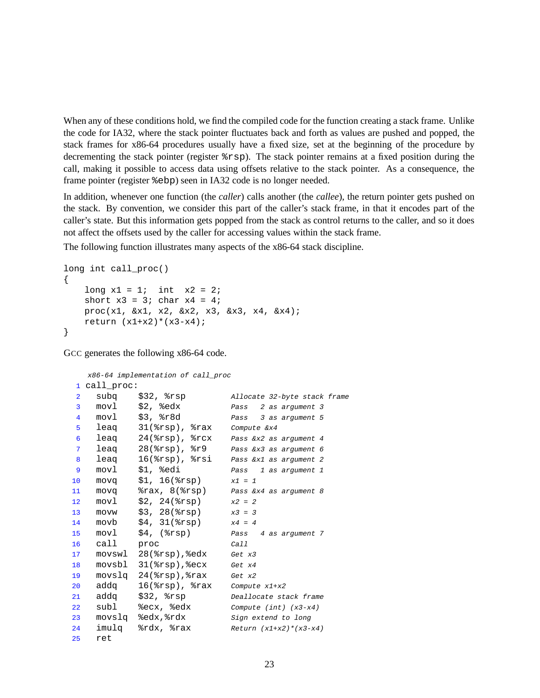When any of these conditions hold, we find the compiled code for the function creating a stack frame. Unlike the code for IA32, where the stack pointer fluctuates back and forth as values are pushed and popped, the stack frames for x86-64 procedures usually have a fixed size, set at the beginning of the procedure by decrementing the stack pointer (register %rsp). The stack pointer remains at a fixed position during the call, making it possible to access data using offsets relative to the stack pointer. As a consequence, the frame pointer (register  $\epsilon$ ebp) seen in IA32 code is no longer needed.

In addition, whenever one function (the *caller*) calls another (the *callee*), the return pointer gets pushed on the stack. By convention, we consider this part of the caller's stack frame, in that it encodes part of the caller's state. But this information gets popped from the stack as control returns to the caller, and so it does not affect the offsets used by the caller for accessing values within the stack frame.

The following function illustrates many aspects of the x86-64 stack discipline.

```
long int call_proc()
{
    long x1 = 1; int x2 = 2;
    short x3 = 3; char x4 = 4;
   proc(x1, &x1, x2, &x2, x3, &x3, x4, &x4);
   return (x1+x2)*(x3-x4);
}
```
GCC generates the following x86-64 code.

```
x86-64 implementation of call_proc
1 call_proc:
2 subq $32, %rsp Allocate 32-byte stack frame
3 movl $2, %edx Pass 2 as argument 3
4 movl $3, %r8d Pass 3 as argument 5
5 leaq 31(%rsp), %rax Compute &x4
6 leaq 24(%rsp), %rcx Pass &x2 as argument 4
7 leag 28(%rsp), %r9 Pass &x3 as argument 6
8 leaq 16(%rsp), %rsi Pass &x1 as argument 2
9 movl $1, %edi Pass 1 as argument 1
10 movq $1, 16(%rsp) x1 = 1
11 movq %rax, 8(%rsp) Pass &x4 as argument 8
12 movl $2, 24(%rsp) x2 = 2
13 movw $3, 28($rsp) x3 = 314 movb $4, 31(%rsp) x4 = 4
15 movl $4, (%rsp) Pass 4 as argument 7
16 call proc Call
17 movswl 28(%rsp), %edx Get x3
18 movsbl 31(%rsp), %ecx Get x4
19 movslq 24(%rsp),%rax Get x2
20 addq 16(%rsp), %rax Compute x1+x2
21 addq $32, %rsp Deallocate stack frame
22 subl %ecx, %edx Compute (int) (x3-x4)
23 movslq %edx, %rdx Sign extend to long
24 imulq \text{gcd}(x, \text{max}) Return (x1+x2)^*(x3-x4)25 ret
```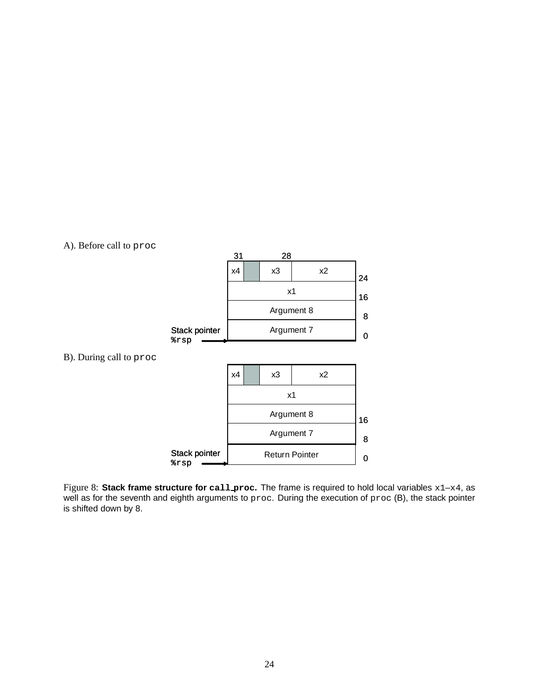

Figure 8: **Stack frame structure for call proc.** The frame is required to hold local variables x1–x4, as well as for the seventh and eighth arguments to proc. During the execution of proc (B), the stack pointer is shifted down by 8.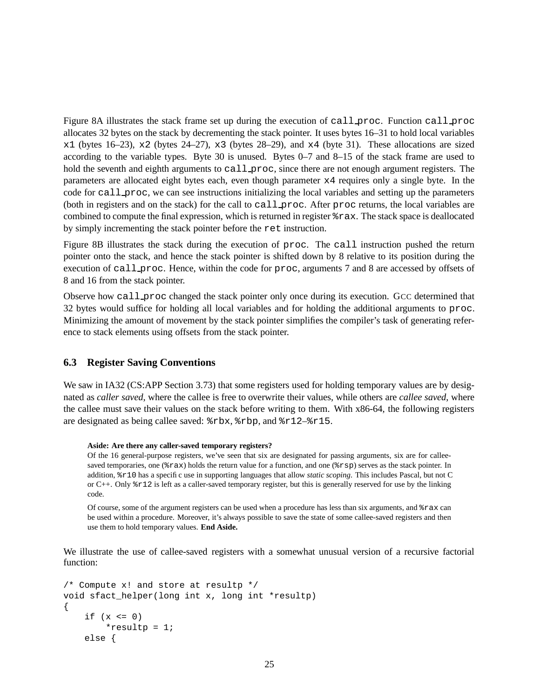Figure 8A illustrates the stack frame set up during the execution of call proc. Function call proc allocates 32 bytes on the stack by decrementing the stack pointer. It uses bytes 16–31 to hold local variables  $x1$  (bytes 16–23),  $x2$  (bytes 24–27),  $x3$  (bytes 28–29), and  $x4$  (byte 31). These allocations are sized according to the variable types. Byte 30 is unused. Bytes 0–7 and 8–15 of the stack frame are used to hold the seventh and eighth arguments to call proc, since there are not enough argument registers. The parameters are allocated eight bytes each, even though parameter x4 requires only a single byte. In the code for call proc, we can see instructions initializing the local variables and setting up the parameters (both in registers and on the stack) for the call to call proc. After proc returns, the local variables are combined to compute the final expression, which is returned in register %rax. The stack space is deallocated by simply incrementing the stack pointer before the ret instruction.

Figure 8B illustrates the stack during the execution of proc. The call instruction pushed the return pointer onto the stack, and hence the stack pointer is shifted down by 8 relative to its position during the execution of call proc. Hence, within the code for proc, arguments 7 and 8 are accessed by offsets of 8 and 16 from the stack pointer.

Observe how call proc changed the stack pointer only once during its execution. GCC determined that 32 bytes would suffice for holding all local variables and for holding the additional arguments to proc. Minimizing the amount of movement by the stack pointer simplifies the compiler's task of generating reference to stack elements using offsets from the stack pointer.

### **6.3 Register Saving Conventions**

We saw in IA32 (CS:APP Section 3.73) that some registers used for holding temporary values are by designated as *caller saved*, where the callee is free to overwrite their values, while others are *callee saved*, where the callee must save their values on the stack before writing to them. With x86-64, the following registers are designated as being callee saved: %rbx, %rbp, and %r12–%r15.

#### **Aside: Are there any caller-saved temporary registers?**

Of the 16 general-purpose registers, we've seen that six are designated for passing arguments, six are for calleesaved temporaries, one ( $\text{max}$ ) holds the return value for a function, and one ( $\text{exp}$ ) serves as the stack pointer. In addition, %r10 has a specific use in supporting languages that allow *static scoping*. This includes Pascal, but not C or C++. Only %r12 is left as a caller-saved temporary register, but this is generally reserved for use by the linking code.

Of course, some of the argument registers can be used when a procedure has less than six arguments, and %rax can be used within a procedure. Moreover, it's always possible to save the state of some callee-saved registers and then use them to hold temporary values. **End Aside.**

We illustrate the use of callee-saved registers with a somewhat unusual version of a recursive factorial function:

```
/* Compute x! and store at resultp */
void sfact_helper(long int x, long int *resultp)
{
    if (x \le 0)*resultp = 1;
    else {
```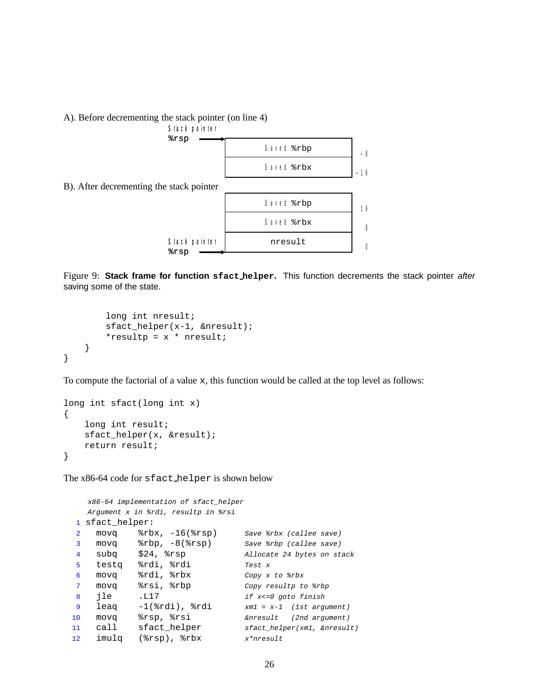#### A). Before decrementing the stack pointer (on line 4)



Figure 9: **Stack frame for function sfact helper.** This function decrements the stack pointer after saving some of the state.

```
long int nresult;
        sfact_helper(x-1, &nresult);
        *resultp = x * nresult;
    }
}
```
To compute the factorial of a value x, this function would be called at the top level as follows:

```
long int sfact(long int x)
{
    long int result;
    sfact_helper(x, &result);
    return result;
}
```
The x86-64 code for sfact helper is shown below

```
x86-64 implementation of sfact_helper
  Argument x in %rdi, resultp in %rsi
1 sfact_helper:
2 movq %rbx, -16(%rsp) Save %rbx (callee save)
3 movq %rbp, -8(%rsp) Save %rbp (callee save)
4 subq $24, %rsp Allocate 24 bytes on stack
5 testq %rdi, %rdi Test x6 movq %rdi, %rbx Copy x to %rbx
7 movq %rsi, %rbp Copy resultp to %rbp
8 jle .L17 if x <= 0 goto finish
9 leaq -1(%rdi), %rdi xm1 = x-1 (1st argument)
10 movq %rsp, %rsi &nresult (2nd argument)
11 call sfact_helper sfact_helper(xm1, &nresult)
12 imulq (%rsp), %rbx x*nresult
```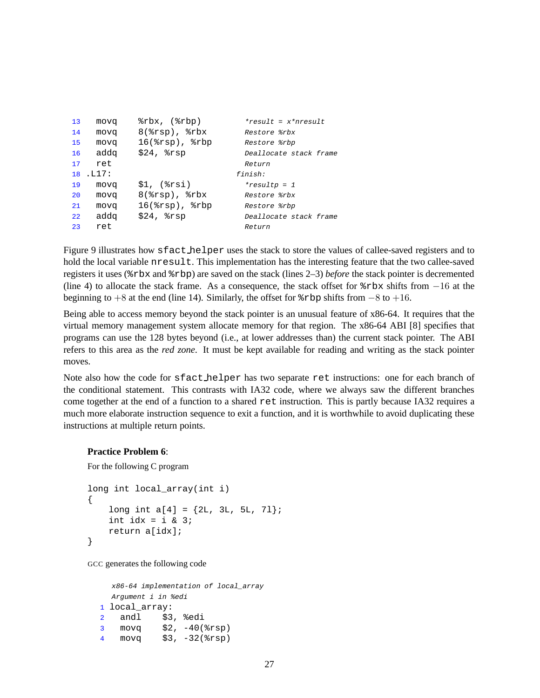```
13 movq %rbx, (%rbp) *result = x*nresult
14 movq 8(%rsp), %rbx Restore %rbx
15 movq 16(%rsp), %rbp Restore %rbp
16 addq $24, $rsp Deallocate stack frame
17 ret Return
18 .L17: finish:
19 movq $1, (%rsi) *resultp = 1
20 movq 8(%rsp), %rbx Restore %rbx
21 movq 16(%rsp), %rbp Restore %rbp
22 addq $24, %rsp Deallocate stack frame
23 ret Return
```
Figure 9 illustrates how sfact helper uses the stack to store the values of callee-saved registers and to hold the local variable nresult. This implementation has the interesting feature that the two callee-saved registers it uses (%rbx and %rbp) are saved on the stack (lines 2–3) *before* the stack pointer is decremented (line 4) to allocate the stack frame. As a consequence, the stack offset for %rbx shifts from −16 at the beginning to +8 at the end (line 14). Similarly, the offset for  $\epsilon$ rbp shifts from  $-8$  to +16.

Being able to access memory beyond the stack pointer is an unusual feature of x86-64. It requires that the virtual memory management system allocate memory for that region. The x86-64 ABI [8] specifies that programs can use the 128 bytes beyond (i.e., at lower addresses than) the current stack pointer. The ABI refers to this area as the *red zone*. It must be kept available for reading and writing as the stack pointer moves.

Note also how the code for sfact helper has two separate ret instructions: one for each branch of the conditional statement. This contrasts with IA32 code, where we always saw the different branches come together at the end of a function to a shared ret instruction. This is partly because IA32 requires a much more elaborate instruction sequence to exit a function, and it is worthwhile to avoid duplicating these instructions at multiple return points.

### **Practice Problem 6**:

For the following C program

```
long int local_array(int i)
{
    long int a[4] = \{2L, 3L, 5L, 71\};
    int idx = i & 3;
    return a[idx];
}
```
GCC generates the following code

```
x86-64 implementation of local_array
  Argument i in %edi
1 local_array:
2 andl $3, %edi
3 movq $2, -40(%rsp)
4 movq $3, -32(%rsp)
```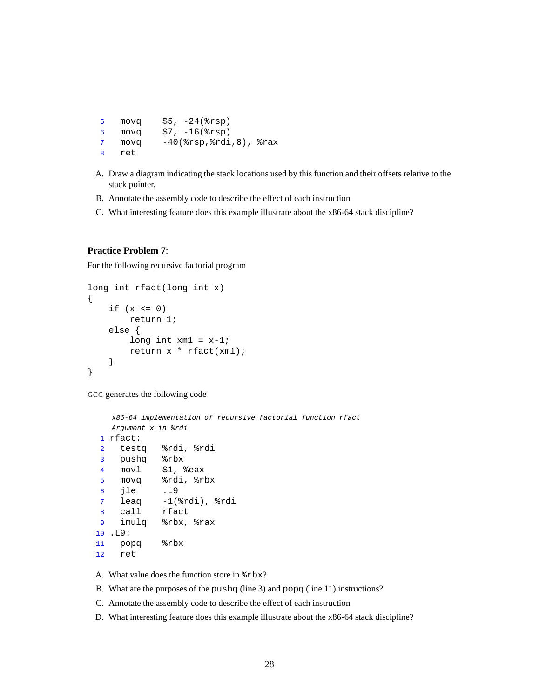```
5 movq $5, -24(%rsp)
6 movq $7, -16(%rsp)
7 movq -40(%rsp,%rdi,8), %rax
8 ret
```
- A. Draw a diagram indicating the stack locations used by this function and their offsets relative to the stack pointer.
- B. Annotate the assembly code to describe the effect of each instruction
- C. What interesting feature does this example illustrate about the x86-64 stack discipline?

### **Practice Problem 7**:

For the following recursive factorial program

```
long int rfact(long int x)
{
    if (x \le 0)return 1;
    else {
        long int xml = x-1;
        return x * rfact(xm1);
    }
}
```
GCC generates the following code

```
x86-64 implementation of recursive factorial function rfact
  Argument x in %rdi
1 rfact:
2 testq %rdi, %rdi
3 pushq %rbx
4 movl $1, %eax
5 movq %rdi, %rbx
6 jle .L9
7 leaq -1(%rdi), %rdi
8 call rfact
9 imulq %rbx, %rax
10 .L9:
11 popq %rbx
12 ret
```
A. What value does the function store in %rbx?

B. What are the purposes of the pushq (line 3) and popq (line 11) instructions?

C. Annotate the assembly code to describe the effect of each instruction

D. What interesting feature does this example illustrate about the x86-64 stack discipline?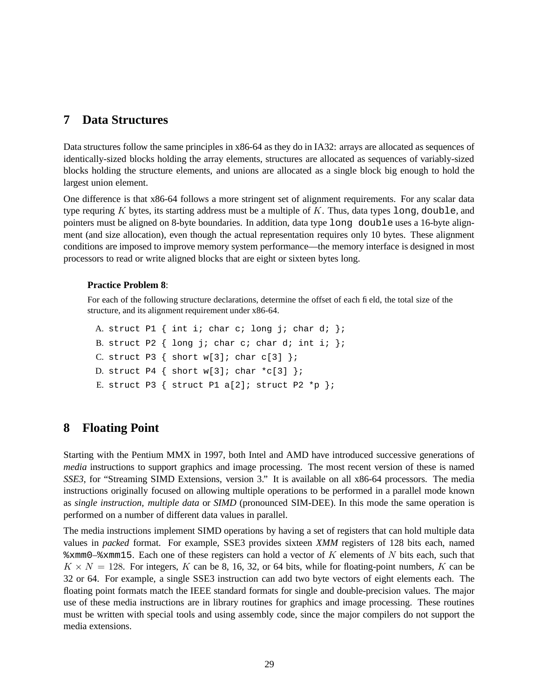## **7 Data Structures**

Data structures follow the same principles in x86-64 as they do in IA32: arrays are allocated as sequences of identically-sized blocks holding the array elements, structures are allocated as sequences of variably-sized blocks holding the structure elements, and unions are allocated as a single block big enough to hold the largest union element.

One difference is that x86-64 follows a more stringent set of alignment requirements. For any scalar data type requring K bytes, its starting address must be a multiple of  $K$ . Thus, data types long, double, and pointers must be aligned on 8-byte boundaries. In addition, data type long double uses a 16-byte alignment (and size allocation), even though the actual representation requires only 10 bytes. These alignment conditions are imposed to improve memory system performance—the memory interface is designed in most processors to read or write aligned blocks that are eight or sixteen bytes long.

### **Practice Problem 8**:

For each of the following structure declarations, determine the offset of each field, the total size of the structure, and its alignment requirement under x86-64.

```
A. struct P1 { int i; char c; long j; char d; };
B. struct P2 \{ long j; char c; char d; int i; \};
C. struct P3 \{ short w[3]; char c[3] \};D. struct P4 \{ short w[3]; char *c[3] \};
E. struct P3 \{ struct P1 a[2]; struct P2 *p \};
```
# **8 Floating Point**

Starting with the Pentium MMX in 1997, both Intel and AMD have introduced successive generations of *media* instructions to support graphics and image processing. The most recent version of these is named *SSE3*, for "Streaming SIMD Extensions, version 3." It is available on all x86-64 processors. The media instructions originally focused on allowing multiple operations to be performed in a parallel mode known as *single instruction, multiple data* or *SIMD* (pronounced SIM-DEE). In this mode the same operation is performed on a number of different data values in parallel.

The media instructions implement SIMD operations by having a set of registers that can hold multiple data values in *packed* format. For example, SSE3 provides sixteen *XMM* registers of 128 bits each, named  $x \text{mm0-}$   $x \text{mm15}$ . Each one of these registers can hold a vector of K elements of N bits each, such that  $K \times N = 128$ . For integers, K can be 8, 16, 32, or 64 bits, while for floating-point numbers, K can be 32 or 64. For example, a single SSE3 instruction can add two byte vectors of eight elements each. The floating point formats match the IEEE standard formats for single and double-precision values. The major use of these media instructions are in library routines for graphics and image processing. These routines must be written with special tools and using assembly code, since the major compilers do not support the media extensions.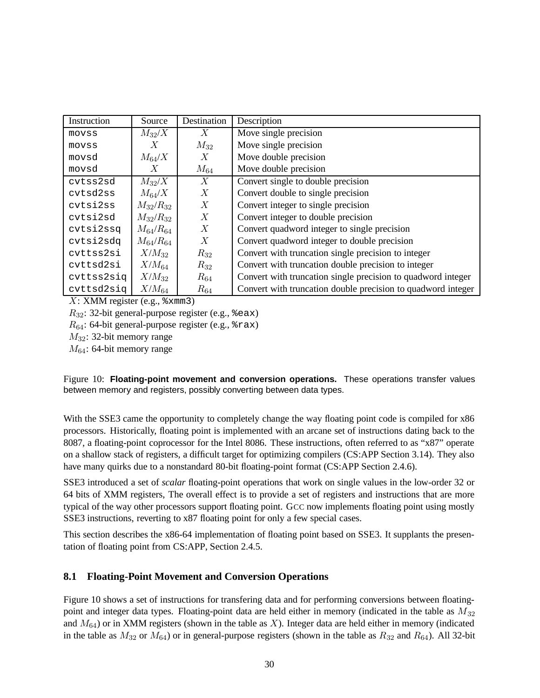| Instruction | Source          | Destination      | Description                                                  |
|-------------|-----------------|------------------|--------------------------------------------------------------|
| movss       | $M_{32}/X$      | $\boldsymbol{X}$ | Move single precision                                        |
| movss       | Х               | $M_{32}$         | Move single precision                                        |
| movsd       | $M_{64}/X$      | X                | Move double precision                                        |
| movsd       | X               | $M_{64}$         | Move double precision                                        |
| cvtss2sd    | $M_{32}/X$      | X                | Convert single to double precision                           |
| cvtsd2ss    | $M_{64}/X$      | X                | Convert double to single precision                           |
| cytsi2ss    | $M_{32}/R_{32}$ | X                | Convert integer to single precision                          |
| cytsi2sd    | $M_{32}/R_{32}$ | X                | Convert integer to double precision                          |
| cvtsi2ssq   | $M_{64}/R_{64}$ | X                | Convert quadword integer to single precision                 |
| cvtsi2sdq   | $M_{64}/R_{64}$ | $\boldsymbol{X}$ | Convert quadword integer to double precision                 |
| cvttss2si   | $X/M_{32}$      | $R_{32}$         | Convert with truncation single precision to integer          |
| cvttsd2si   | $X/M_{64}$      | $R_{32}$         | Convert with truncation double precision to integer          |
| cvttss2siq  | $X/M_{32}$      | $R_{64}$         | Convert with truncation single precision to quadword integer |
| cvttsd2siq  | $X/M_{64}$      | $R_{64}$         | Convert with truncation double precision to quadword integer |

 $X:$  XMM register (e.g.,  $\text{\%xmm3)}$ )

 $R_{32}$ : 32-bit general-purpose register (e.g.,  $\epsilon$ eax)

 $R_{64}$ : 64-bit general-purpose register (e.g.,  $\epsilon$ rax)

M32: 32-bit memory range

 $M_{64}$ : 64-bit memory range

Figure 10: **Floating-point movement and conversion operations.** These operations transfer values between memory and registers, possibly converting between data types.

With the SSE3 came the opportunity to completely change the way floating point code is compiled for x86 processors. Historically, floating point is implemented with an arcane set of instructions dating back to the 8087, a floating-point coprocessor for the Intel 8086. These instructions, often referred to as "x87" operate on a shallow stack of registers, a difficult target for optimizing compilers (CS:APP Section 3.14). They also have many quirks due to a nonstandard 80-bit floating-point format (CS:APP Section 2.4.6).

SSE3 introduced a set of *scalar* floating-point operations that work on single values in the low-order 32 or 64 bits of XMM registers, The overall effect is to provide a set of registers and instructions that are more typical of the way other processors support floating point. GCC now implements floating point using mostly SSE3 instructions, reverting to x87 floating point for only a few special cases.

This section describes the x86-64 implementation of floating point based on SSE3. It supplants the presentation of floating point from CS:APP, Section 2.4.5.

## **8.1 Floating-Point Movement and Conversion Operations**

Figure 10 shows a set of instructions for transfering data and for performing conversions between floatingpoint and integer data types. Floating-point data are held either in memory (indicated in the table as  $M_{32}$ ) and  $M_{64}$ ) or in XMM registers (shown in the table as X). Integer data are held either in memory (indicated in the table as  $M_{32}$  or  $M_{64}$ ) or in general-purpose registers (shown in the table as  $R_{32}$  and  $R_{64}$ ). All 32-bit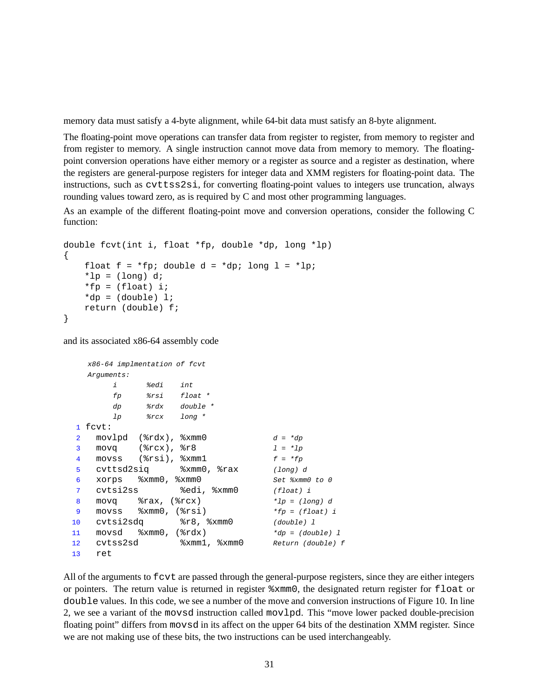memory data must satisfy a 4-byte alignment, while 64-bit data must satisfy an 8-byte alignment.

The floating-point move operations can transfer data from register to register, from memory to register and from register to memory. A single instruction cannot move data from memory to memory. The floatingpoint conversion operations have either memory or a register as source and a register as destination, where the registers are general-purpose registers for integer data and XMM registers for floating-point data. The instructions, such as cvttss2si, for converting floating-point values to integers use truncation, always rounding values toward zero, as is required by C and most other programming languages.

As an example of the different floating-point move and conversion operations, consider the following C function:

```
double fcvt(int i, float *fp, double *dp, long *lp)
{
    float f = *fp; double d = *dp; long l = *lp;
    *lp = (long) d;
    *fp = (float) i;
    *dp = (double) 1;return (double) f;
}
```
and its associated x86-64 assembly code

```
x86-64 implmentation of fcvt
  Arguments:
       i %edi int
       fp %rsi float *
       dp %rdx double *
       lp %rcx long *
1 fcvt:
2 movlpd (\text{grad } , \text{ } \text{zmm}) a = \text{grad } d = \text{d}p3 movq ({}8rcx), {}8r8 1 = *1p4 movss (\text{8rsi}), \text{8xmm1} f = *fp5 cvttsd2siq %xmm0, %rax (long) d
6 xorps %xmm0, %xmm0 Set %xmm0 to 0
7 cvtsi2ss %edi, %xmm0 (float) i
8 movq \text{Trax}, (\text{Trcx}) \text{*} \text{lp} = (\text{long}) \text{d}9 movss \text{symm0}, (\text{3rsi}) *fp = (float) i
10 cvtsi2sdq %r8, %xmm0 (double) 1
11 movsd x \text{mm0}, (x \text{idx}) *dp = (double) 1
12 cvtss2sd %xmm1, %xmm0 Return (double) f
13 ret
```
All of the arguments to fcvt are passed through the general-purpose registers, since they are either integers or pointers. The return value is returned in register %xmm0, the designated return register for float or double values. In this code, we see a number of the move and conversion instructions of Figure 10. In line 2, we see a variant of the movsd instruction called movlpd. This "move lower packed double-precision floating point" differs from movsd in its affect on the upper 64 bits of the destination XMM register. Since we are not making use of these bits, the two instructions can be used interchangeably.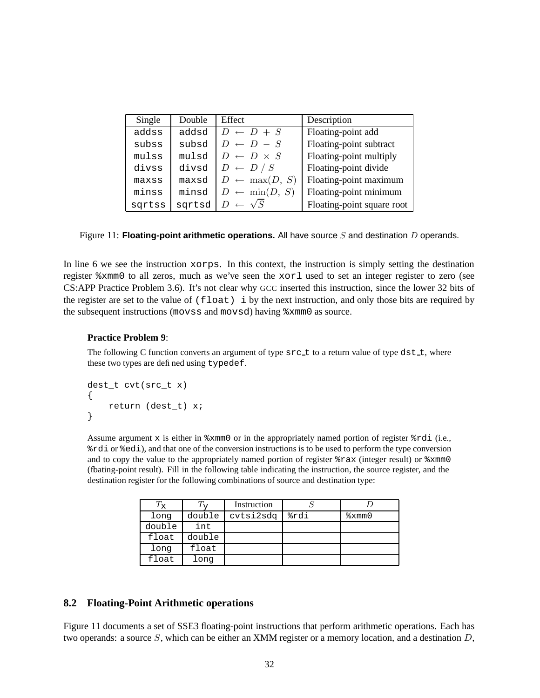| Single | Double | Effect                    | Description                |
|--------|--------|---------------------------|----------------------------|
| addss  | addsd  | $D \leftarrow D + S$      | Floating-point add         |
| subss  | subsd  | $D \leftarrow D - S$      | Floating-point subtract    |
| mulss  | mulsd  | $D \leftarrow D \times S$ | Floating-point multiply    |
| divss  | divsd  | $D \leftarrow D / S$      | Floating-point divide      |
| maxss  | maxsd  | $D \leftarrow \max(D, S)$ | Floating-point maximum     |
| minss  | minsd  | $D \leftarrow \min(D, S)$ | Floating-point minimum     |
| sqrtss | sqrtsd | $\leftarrow \sqrt{S}$     | Floating-point square root |

Figure 11: **Floating-point arithmetic operations.** All have source S and destination D operands.

In line 6 we see the instruction xorps. In this context, the instruction is simply setting the destination register %xmm0 to all zeros, much as we've seen the xorl used to set an integer register to zero (see CS:APP Practice Problem 3.6). It's not clear why GCC inserted this instruction, since the lower 32 bits of the register are set to the value of  $(f$ loat) i by the next instruction, and only those bits are required by the subsequent instructions (movss and movsd) having %xmm0 as source.

### **Practice Problem 9**:

The following C function converts an argument of type  $src\_t$  to a return value of type dst $_t$ , where these two types are defined using typedef.

```
dest_t cvt(src_t x)
{
    return (dest_t) x;
}
```
Assume argument x is either in %xmm0 or in the appropriately named portion of register %rdi (i.e., %rdi or %edi), and that one of the conversion instructions is to be used to perform the type conversion and to copy the value to the appropriately named portion of register  $*\text{max}$  (integer result) or  $*\text{mm0}$ (floating-point result). Fill in the following table indicating the instruction, the source register, and the destination register for the following combinations of source and destination type:

| $T_{\mathbf{X}}$ |        | Instruction |      |      |
|------------------|--------|-------------|------|------|
| long             | double | cvtsi2sdq   | %rdi | xmm0 |
| double           | int    |             |      |      |
| float            | double |             |      |      |
| long             | float  |             |      |      |
| float            | long   |             |      |      |

### **8.2 Floating-Point Arithmetic operations**

Figure 11 documents a set of SSE3 floating-point instructions that perform arithmetic operations. Each has two operands: a source  $S$ , which can be either an XMM register or a memory location, and a destination  $D$ ,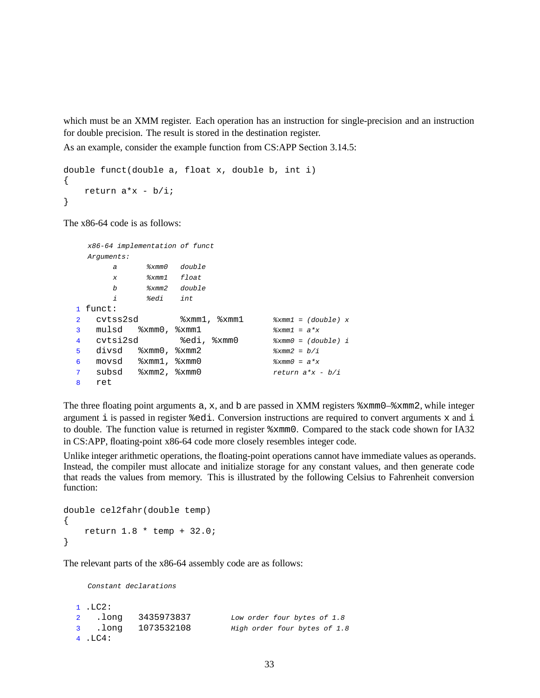which must be an XMM register. Each operation has an instruction for single-precision and an instruction for double precision. The result is stored in the destination register.

As an example, consider the example function from CS:APP Section 3.14.5:

```
double funct(double a, float x, double b, int i)
{
    return a*x - b/i;}
```
The x86-64 code is as follows:

```
x86-64 implementation of funct
  Arguments:
       a %xmm0 double
       x %xmm1 float
       b %xmm2 double
       i %edi int
1 funct:
2 cvtss2sd %xmm1, %xmm1 %xmm1 = (double) x
3 mulsd x \text{mm0}, x \text{mm1} x \text{mm2} = a^*x4 cvtsi2sd %edi, %xmm0 %xmm0 = (double) i
5 divsd \frac{2}{3} xmm0, \frac{2}{3} xmm2 = \frac{1}{2} \frac{2}{3} xmm2 = \frac{1}{2}6 movsd x \text{mm1}, x \text{mm0} exmm0 = a^*x7 subsd \frac{2}{x} mm2, \frac{2}{x} mm0 return a^*x - b/i8 ret
```
The three floating point arguments  $a, x$ , and  $b$  are passed in XMM registers  $xmm0-xmm2$ , while integer argument i is passed in register %edi. Conversion instructions are required to convert arguments x and i to double. The function value is returned in register %xmm0. Compared to the stack code shown for IA32 in CS:APP, floating-point x86-64 code more closely resembles integer code.

Unlike integer arithmetic operations, the floating-point operations cannot have immediate values as operands. Instead, the compiler must allocate and initialize storage for any constant values, and then generate code that reads the values from memory. This is illustrated by the following Celsius to Fahrenheit conversion function:

```
double cel2fahr(double temp)
{
    return 1.8 * temp + 32.0;
}
```
The relevant parts of the x86-64 assembly code are as follows:

Constant declarations

```
1 .LC2:
2 .long 3435973837 Low order four bytes of 1.8
3 .long 1073532108 High order four bytes of 1.8
4 .LC4:
```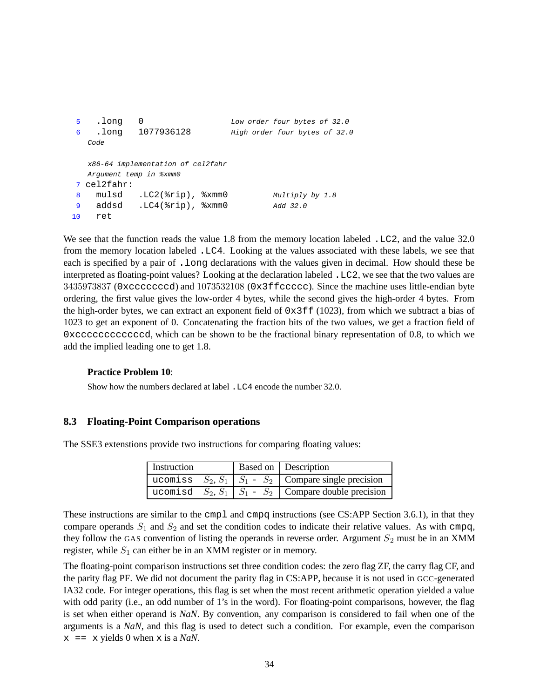```
5 .long 0 Low order four bytes of 32.0
6 .long 1077936128 High order four bytes of 32.0
  Code
  x86-64 implementation of cel2fahr
  Argument temp in %xmm0
7 cel2fahr:
8 mulsd .LC2(%rip), %xmm0 Multiply by 1.8
9 addsd .LC4(%rip), %xmm0 Add 32.0
10 ret
```
We see that the function reads the value 1.8 from the memory location labeled . LC2, and the value 32.0 from the memory location labeled .LC4. Looking at the values associated with these labels, we see that each is specified by a pair of .long declarations with the values given in decimal. How should these be interpreted as floating-point values? Looking at the declaration labeled .LC2, we see that the two values are 3435973837 (0xcccccccd) and 1073532108 (0x3ffccccc). Since the machine uses little-endian byte ordering, the first value gives the low-order 4 bytes, while the second gives the high-order 4 bytes. From the high-order bytes, we can extract an exponent field of  $0 \times 3ff$  (1023), from which we subtract a bias of 1023 to get an exponent of 0. Concatenating the fraction bits of the two values, we get a fraction field of 0xccccccccccccd, which can be shown to be the fractional binary representation of 0.8, to which we add the implied leading one to get 1.8.

### **Practice Problem 10**:

Show how the numbers declared at label .LC4 encode the number 32.0.

### **8.3 Floating-Point Comparison operations**

The SSE3 extenstions provide two instructions for comparing floating values:

| Instruction |  | Based on   Description                                          |
|-------------|--|-----------------------------------------------------------------|
|             |  | ucomiss $S_2, S_1 \mid S_1 - S_2 \mid$ Compare single precision |
|             |  | ucomisd $S_2, S_1   S_1 - S_2  $ Compare double precision       |

These instructions are similar to the cmpl and cmpq instructions (see CS:APP Section 3.6.1), in that they compare operands  $S_1$  and  $S_2$  and set the condition codes to indicate their relative values. As with cmpq, they follow the GAS convention of listing the operands in reverse order. Argument  $S_2$  must be in an XMM register, while  $S_1$  can either be in an XMM register or in memory.

The floating-point comparison instructions set three condition codes: the zero flag ZF, the carry flag CF, and the parity flag PF. We did not document the parity flag in CS:APP, because it is not used in GCC-generated IA32 code. For integer operations, this flag is set when the most recent arithmetic operation yielded a value with odd parity (i.e., an odd number of 1's in the word). For floating-point comparisons, however, the flag is set when either operand is *NaN*. By convention, any comparison is considered to fail when one of the arguments is a *NaN*, and this flag is used to detect such a condition. For example, even the comparison  $x = x$  yields 0 when x is a *NaN*.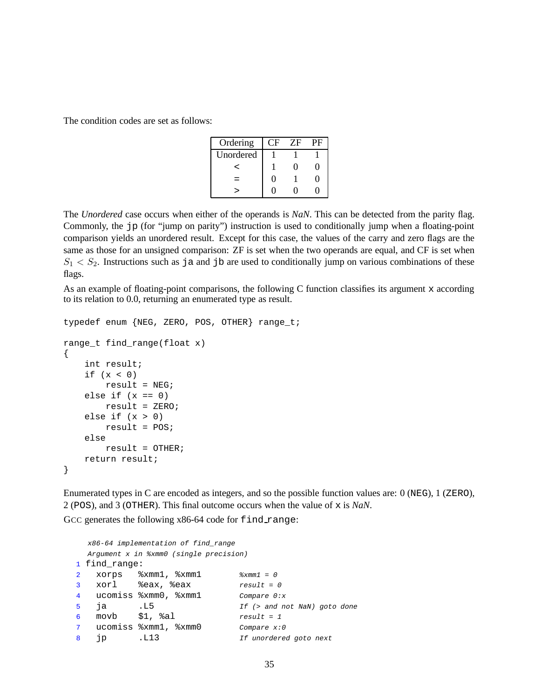The condition codes are set as follows:

| Ordering  | н | 7F | PF |
|-----------|---|----|----|
| Unordered |   |    |    |
| ←         |   |    |    |
|           | П |    |    |
|           |   |    |    |

The *Unordered* case occurs when either of the operands is *NaN*. This can be detected from the parity flag. Commonly, the jp (for "jump on parity") instruction is used to conditionally jump when a floating-point comparison yields an unordered result. Except for this case, the values of the carry and zero flags are the same as those for an unsigned comparison: ZF is set when the two operands are equal, and CF is set when  $S_1 < S_2$ . Instructions such as ja and jb are used to conditionally jump on various combinations of these flags.

As an example of floating-point comparisons, the following C function classifies its argument x according to its relation to 0.0, returning an enumerated type as result.

```
typedef enum {NEG, ZERO, POS, OTHER} range_t;
range_t find_range(float x)
{
   int result;
   if (x < 0)result = NEG;else if (x == 0)result = ZERO;
   else if (x > 0)result = POS;
   else
       result = OTHER;
   return result;
}
```
Enumerated types in C are encoded as integers, and so the possible function values are: 0 (NEG), 1 (ZERO), 2 (POS), and 3 (OTHER). This final outcome occurs when the value of x is *NaN*.

GCC generates the following x86-64 code for find range:

```
x86-64 implementation of find_range
 Argument x in %xmm0 (single precision)
1 find_range:
2 xorps xmm1, xmm1 x xmm1 = 0
3 xorl %eax, %eax result = 0
4 ucomiss %xmm0, %xmm1 Compare 0:x
5 ja .L5 If (> and not NaN) goto done
6 movb $1, $a1 result = 1
7 ucomiss %xmm1, %xmm0 Compare x:0
8 jp .L13 If unordered goto next
```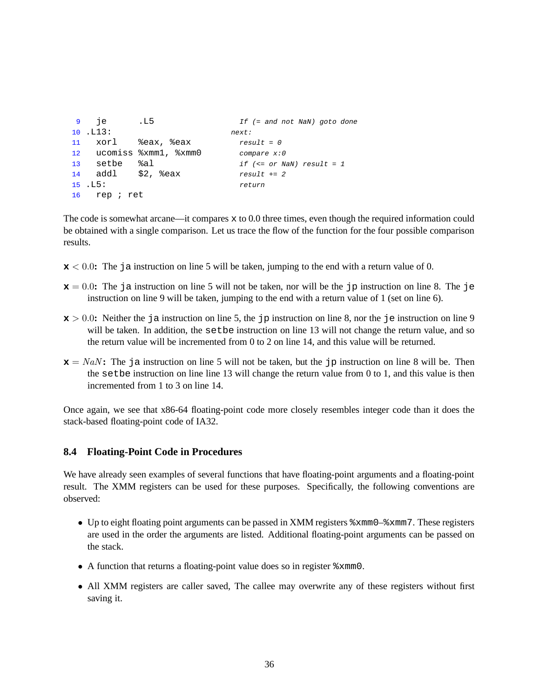```
9 je .L5 If (= and not NaN) goto done
10 .L13: next:
11 xorl %eax, %eax result = 0
12 ucomiss %xmm1, %xmm0 compare x:0
13 setbe %al if (<= or NaN) result = 1
14 addl $2, seax result += 215 .L5: return
16 rep ; ret
```
The code is somewhat arcane—it compares  $x$  to 0.0 three times, even though the required information could be obtained with a single comparison. Let us trace the flow of the function for the four possible comparison results.

- **x** < 0.0**:** The ja instruction on line 5 will be taken, jumping to the end with a return value of 0.
- $x = 0.0$ : The ja instruction on line 5 will not be taken, nor will be the jp instruction on line 8. The je instruction on line 9 will be taken, jumping to the end with a return value of 1 (set on line 6).
- $x > 0.0$ : Neither the ja instruction on line 5, the jp instruction on line 8, nor the je instruction on line 9 will be taken. In addition, the setbe instruction on line 13 will not change the return value, and so the return value will be incremented from 0 to 2 on line 14, and this value will be returned.
- **<b>:** The ja instruction on line 5 will not be taken, but the jp instruction on line 8 will be. Then the setbe instruction on line line 13 will change the return value from 0 to 1, and this value is then incremented from 1 to 3 on line 14.

Once again, we see that x86-64 floating-point code more closely resembles integer code than it does the stack-based floating-point code of IA32.

### **8.4 Floating-Point Code in Procedures**

We have already seen examples of several functions that have floating-point arguments and a floating-point result. The XMM registers can be used for these purposes. Specifically, the following conventions are observed:

- Up to eight floating point arguments can be passed in XMM registers  $xmm0-xmm7$ . These registers are used in the order the arguments are listed. Additional floating-point arguments can be passed on the stack.
- A function that returns a floating-point value does so in register %xmm0.
- All XMM registers are caller saved, The callee may overwrite any of these registers without first saving it.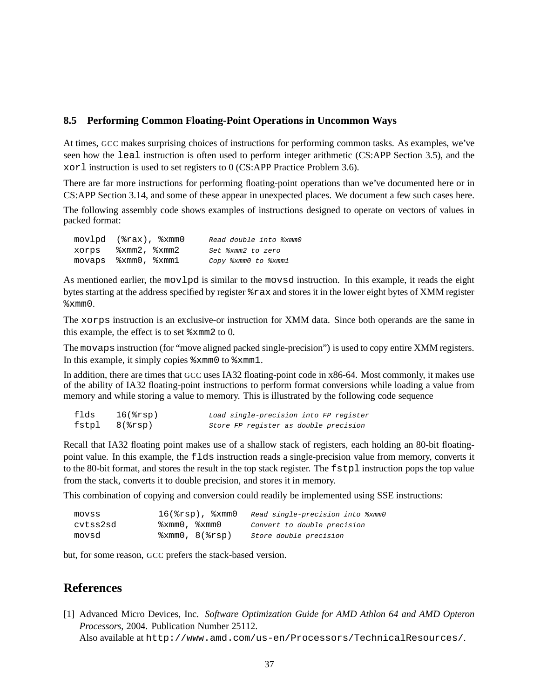### **8.5 Performing Common Floating-Point Operations in Uncommon Ways**

At times, GCC makes surprising choices of instructions for performing common tasks. As examples, we've seen how the leal instruction is often used to perform integer arithmetic (CS:APP Section 3.5), and the xorl instruction is used to set registers to 0 (CS:APP Practice Problem 3.6).

There are far more instructions for performing floating-point operations than we've documented here or in CS:APP Section 3.14, and some of these appear in unexpected places. We document a few such cases here.

The following assembly code shows examples of instructions designed to operate on vectors of values in packed format:

| movlpd (%rax), %xmm0 | Read double into %xmm0 |
|----------------------|------------------------|
| xorps %xmm2, %xmm2   | Set %xmm2 to zero      |
|                      | Copy %xmm0 to %xmm1    |

As mentioned earlier, the movlpd is similar to the movsd instruction. In this example, it reads the eight bytes starting at the address specified by register %rax and stores it in the lower eight bytes of XMM register %xmm0.

The xorps instruction is an exclusive-or instruction for XMM data. Since both operands are the same in this example, the effect is to set %xmm2 to 0.

The movaps instruction (for "move aligned packed single-precision") is used to copy entire XMM registers. In this example, it simply copies %xmm0 to %xmm1.

In addition, there are times that GCC uses IA32 floating-point code in x86-64. Most commonly, it makes use of the ability of IA32 floating-point instructions to perform format conversions while loading a value from memory and while storing a value to memory. This is illustrated by the following code sequence

| flds | $16$ $(srsp)$        | Load single-precision into FP register |
|------|----------------------|----------------------------------------|
|      | $fstpl$ $8$ $(srsp)$ | Store FP register as double precision  |

Recall that IA32 floating point makes use of a shallow stack of registers, each holding an 80-bit floatingpoint value. In this example, the flds instruction reads a single-precision value from memory, converts it to the 80-bit format, and stores the result in the top stack register. The fstpl instruction pops the top value from the stack, converts it to double precision, and stores it in memory.

This combination of copying and conversion could readily be implemented using SSE instructions:

| movss    | $16$ $(\text{srsp})$ , $\text{symm0}$         | Read single-precision into %xmm0 |
|----------|-----------------------------------------------|----------------------------------|
| cvtss2sd | $\text{symm0}$ , $\text{symm0}$               | Convert to double precision      |
| movsd    | $\text{2xmm0}$ , $\text{8}$ ( $\text{2rsp}$ ) | Store double precision           |

but, for some reason, GCC prefers the stack-based version.

## **References**

[1] Advanced Micro Devices, Inc. *Software Optimization Guide for AMD Athlon 64 and AMD Opteron Processors*, 2004. Publication Number 25112.

Also available at http://www.amd.com/us-en/Processors/TechnicalResources/.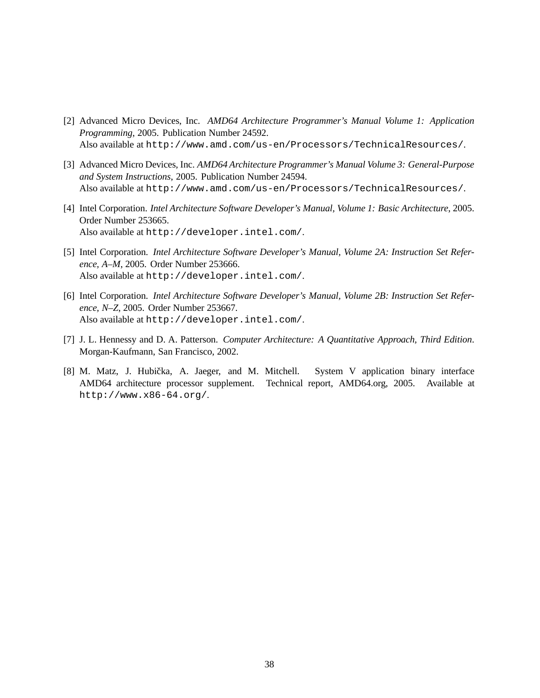- [2] Advanced Micro Devices, Inc. *AMD64 Architecture Programmer's Manual Volume 1: Application Programming*, 2005. Publication Number 24592. Also available at http://www.amd.com/us-en/Processors/TechnicalResources/.
- [3] Advanced Micro Devices, Inc. *AMD64 Architecture Programmer's Manual Volume 3: General-Purpose and System Instructions*, 2005. Publication Number 24594. Also available at http://www.amd.com/us-en/Processors/TechnicalResources/.
- [4] Intel Corporation. *Intel Architecture Software Developer's Manual, Volume 1: Basic Architecture*, 2005. Order Number 253665. Also available at http://developer.intel.com/.
- [5] Intel Corporation. *Intel Architecture Software Developer's Manual, Volume 2A: Instruction Set Reference, A–M*, 2005. Order Number 253666. Also available at http://developer.intel.com/.
- [6] Intel Corporation. *Intel Architecture Software Developer's Manual, Volume 2B: Instruction Set Reference, N–Z*, 2005. Order Number 253667. Also available at http://developer.intel.com/.
- [7] J. L. Hennessy and D. A. Patterson. *Computer Architecture: A Quantitative Approach, Third Edition*. Morgan-Kaufmann, San Francisco, 2002.
- [8] M. Matz, J. Hubička, A. Jaeger, and M. Mitchell. System V application binary interface AMD64 architecture processor supplement. Technical report, AMD64.org, 2005. Available at http://www.x86-64.org/.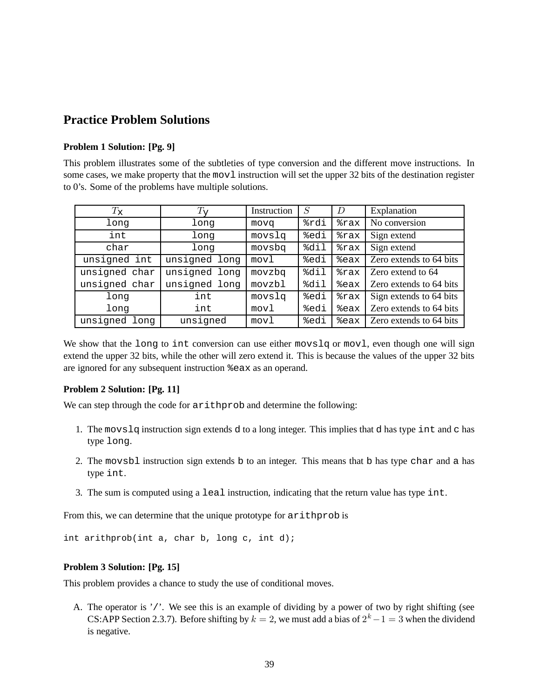# **Practice Problem Solutions**

## **Problem 1 Solution: [Pg. 9]**

This problem illustrates some of the subtleties of type conversion and the different move instructions. In some cases, we make property that the mov1 instruction will set the upper 32 bits of the destination register to 0's. Some of the problems have multiple solutions.

| $T_{\rm X}$   | $T_{\mathsf{V}}$ | Instruction | S    | D                 | Explanation             |
|---------------|------------------|-------------|------|-------------------|-------------------------|
| long          | long             | mova        | %rdi | %rax              | No conversion           |
| int           | long             | movslq      | %edi | %rax              | Sign extend             |
| char          | long             | movsbq      | %dil | $\frac{1}{2}$ rax | Sign extend             |
| unsigned int  | unsigned long    | movl        | %edi | %eax              | Zero extends to 64 bits |
| unsigned char | unsigned long    | movzbq      | %dil | %rax              | Zero extend to 64       |
| unsigned char | unsigned long    | movzbl      | %dil | %eax              | Zero extends to 64 bits |
| long          | int              | movslq      | %edi | %rax              | Sign extends to 64 bits |
| long          | int              | movl        | %edi | %eax              | Zero extends to 64 bits |
| unsigned long | unsigned         | movl        | %edi | %eax              | Zero extends to 64 bits |

We show that the long to int conversion can use either movslq or movl, even though one will sign extend the upper 32 bits, while the other will zero extend it. This is because the values of the upper 32 bits are ignored for any subsequent instruction %eax as an operand.

### **Problem 2 Solution: [Pg. 11]**

We can step through the code for arithprob and determine the following:

- 1. The movslq instruction sign extends d to a long integer. This implies that d has type int and c has type long.
- 2. The movsbl instruction sign extends b to an integer. This means that b has type char and a has type int.
- 3. The sum is computed using a leal instruction, indicating that the return value has type int.

From this, we can determine that the unique prototype for arithprob is

int arithprob(int a, char b, long c, int d);

### **Problem 3 Solution: [Pg. 15]**

This problem provides a chance to study the use of conditional moves.

A. The operator is '/'. We see this is an example of dividing by a power of two by right shifting (see CS:APP Section 2.3.7). Before shifting by  $k = 2$ , we must add a bias of  $2^k - 1 = 3$  when the dividend is negative.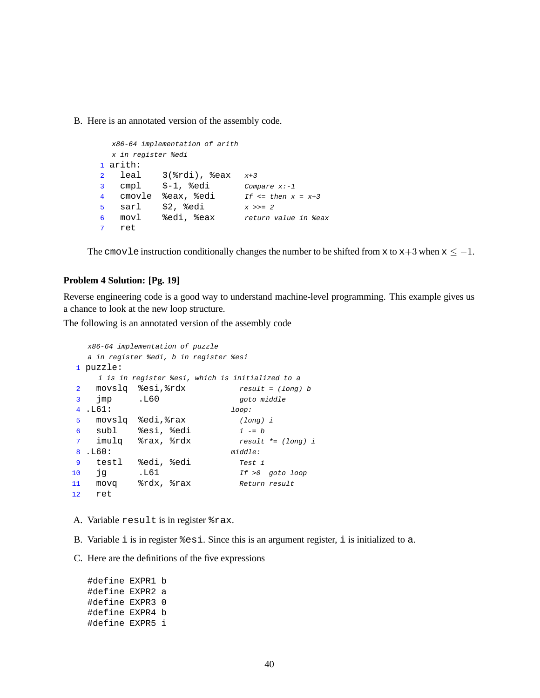B. Here is an annotated version of the assembly code.

```
x86-64 implementation of arith
  x in register %edi
1 arith:
2 leal 3(%rdi), %eax x+3
3 cmpl $-1, %edi Compare x:-1
4 cmovle \text{seax}, \text{sedi} If \leq \text{then } x = x+35 sarl $2, %edi x \gg2 26 movl %edi, %eax return value in %eax
7 ret
```
The cmovle instruction conditionally changes the number to be shifted from x to  $x+3$  when  $x \le -1$ .

### **Problem 4 Solution: [Pg. 19]**

Reverse engineering code is a good way to understand machine-level programming. This example gives us a chance to look at the new loop structure.

The following is an annotated version of the assembly code

```
x86-64 implementation of puzzle
  a in register %edi, b in register %esi
1 puzzle:
   i is in register %esi, which is initialized to a
2 movslq %esi, %rdx result = (long) b
3 jmp .L60 goto middle
4 .L61: loop:
5 movslq %edi,%rax (long) i
6 subl %esi, %edi i = b7 imulq %rax, %rdx result *= (long) i
8 .L60: middle:
9 testl %edi, %edi Test i
10 jg .L61 If >0 goto loop
11 movq %rdx, %rax Return result
12 ret
```
A. Variable result is in register %rax.

- B. Variable  $\pm$  is in register  $\text{\$esi}.$  Since this is an argument register,  $\pm$  is initialized to a.
- C. Here are the definitions of the five expressions

#define EXPR1 b #define EXPR2 a #define EXPR3 0 #define EXPR4 b #define EXPR5 i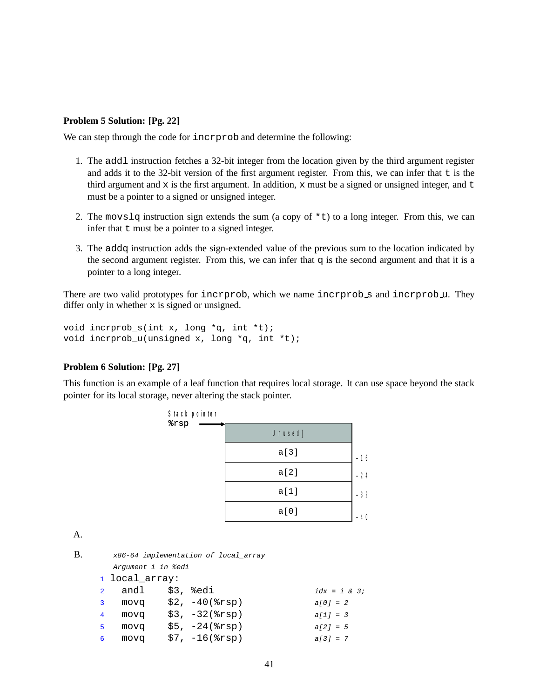### **Problem 5 Solution: [Pg. 22]**

We can step through the code for incrprob and determine the following:

- 1. The addl instruction fetches a 32-bit integer from the location given by the third argument register and adds it to the 32-bit version of the first argument register. From this, we can infer that  $\pm$  is the third argument and  $x$  is the first argument. In addition,  $x$  must be a signed or unsigned integer, and  $t$ must be a pointer to a signed or unsigned integer.
- 2. The movslq instruction sign extends the sum (a copy of  $*$ t) to a long integer. From this, we can infer that  $t$  must be a pointer to a signed integer.
- 3. The addq instruction adds the sign-extended value of the previous sum to the location indicated by the second argument register. From this, we can infer that  $q$  is the second argument and that it is a pointer to a long integer.

There are two valid prototypes for incrprob, which we name incrprob s and incrprob u. They differ only in whether  $x$  is signed or unsigned.

```
void incrprob s(int x, long *q, int *t);void incrprob_u(unsigned x, long *q, int *t);
```
### **Problem 6 Solution: [Pg. 27]**

This function is an example of a leaf function that requires local storage. It can use space beyond the stack pointer for its local storage, never altering the stack pointer.

| Stack pointer<br>$s_{rsp}$ |         |       |
|----------------------------|---------|-------|
|                            | Unused] |       |
|                            | a[3]    | $-16$ |
|                            | a[2]    | $-24$ |
|                            | a[1]    | $-32$ |
|                            | a[0]    |       |

A.

```
B. x86-64 implementation of local_array
     Argument i in %edi
   1 local_array:
   andl \sharp 3, \sharpedi idx = i & 3;
   3 movq $2, -40($rsp) a[0] = 2
   4 movq $3, -32(%rsp) a[1] = 3
   5 movq $5, -24(\$rsp) a[2] = 5
   6 movq $7, -16 ($rsp$) a[3] = 7
```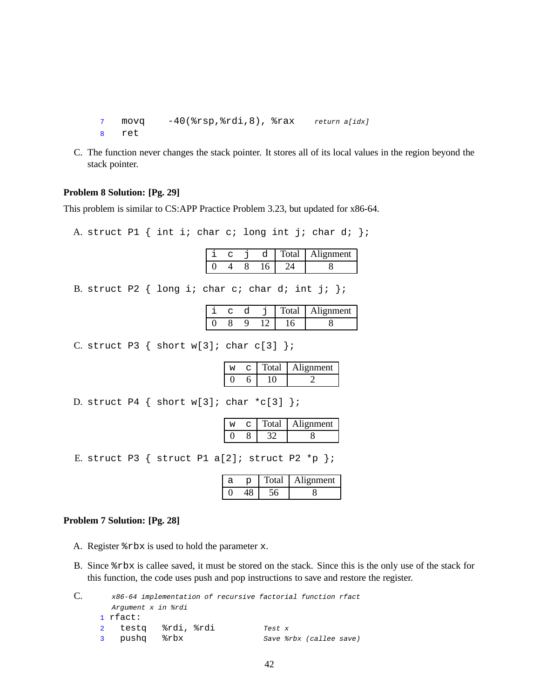```
7 movq -40(%rsp,%rdi,8), %rax return a[idx]
8 ret
```
C. The function never changes the stack pointer. It stores all of its local values in the region beyond the stack pointer.

### **Problem 8 Solution: [Pg. 29]**

This problem is similar to CS:APP Practice Problem 3.23, but updated for x86-64.

A. struct P1  $\{$  int i; char c; long int j; char d;  $\};$ 

|  |  | tal | . lignment |
|--|--|-----|------------|
|  |  |     |            |

B. struct P2  $\{$  long i; char c; char d; int j;  $\}$ ;

|  |  | `otal | Alignment |
|--|--|-------|-----------|
|  |  |       |           |

C. struct P3  $\{$  short w[3]; char c[3]  $\};$ 

|  | Fotal | Alignment |
|--|-------|-----------|
|  |       |           |

D. struct P4  $\{$  short w[3]; char \*c[3]  $\};$ 

|  | `otal | Alignment |
|--|-------|-----------|
|  |       |           |

E. struct P3  $\{$  struct P1 a[2]; struct P2 \*p  $\};$ 

|  | `otal | ignment |
|--|-------|---------|
|  |       |         |

### **Problem 7 Solution: [Pg. 28]**

- A. Register %rbx is used to hold the parameter x.
- B. Since %rbx is callee saved, it must be stored on the stack. Since this is the only use of the stack for this function, the code uses push and pop instructions to save and restore the register.

| C. |              |                    |  | x86-64 implementation of recursive factorial function rfact |        |                         |  |
|----|--------------|--------------------|--|-------------------------------------------------------------|--------|-------------------------|--|
|    |              | Argument x in &rdi |  |                                                             |        |                         |  |
|    |              | $1$ rfact:         |  |                                                             |        |                         |  |
|    |              | 2 testg %rdi, %rdi |  |                                                             | Test x |                         |  |
|    | $\mathbf{3}$ | pushq %rbx         |  |                                                             |        | Save %rbx (callee save) |  |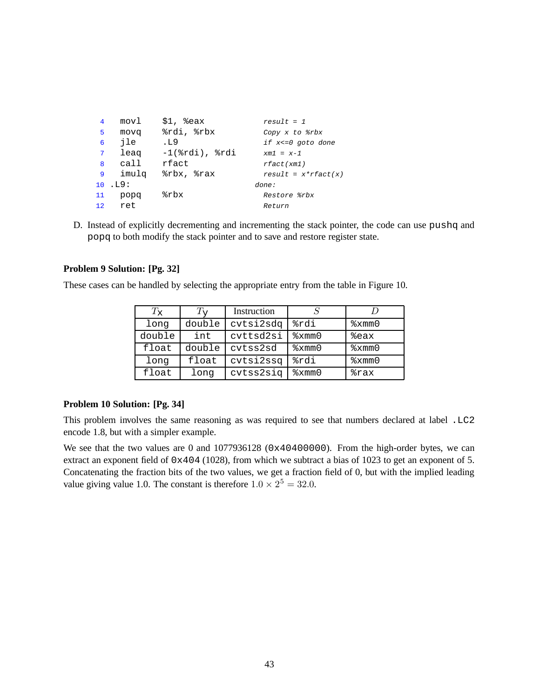| 4           | movl    | $$1,$ $%$ eax         | $result = 1$            |
|-------------|---------|-----------------------|-------------------------|
| 5           | movq    | %rdi, %rbx            | Copy x to %rbx          |
| 6           | ile     | .L9                   | if $x < = 0$ goto done  |
| $7^{\circ}$ | leag    | $-1$ ( $rdi)$ , $rdi$ | $xml = x-1$             |
| 8           | call    | rfact                 | rfact(xm1)              |
| 9           | imulq   | %rbx, %rax            | $result = x * rfact(x)$ |
|             | 10. L9: |                       | done:                   |
| 11          | popq    | %rbx                  | Restore %rbx            |
|             | 12 ret  |                       | Return                  |

D. Instead of explicitly decrementing and incrementing the stack pointer, the code can use pushq and popq to both modify the stack pointer and to save and restore register state.

## **Problem 9 Solution: [Pg. 32]**

These cases can be handled by selecting the appropriate entry from the table in Figure 10.

| $T_{\rm\bf x}$ | $1_{57}$ | Instruction |      |      |
|----------------|----------|-------------|------|------|
| long           | double   | cvtsi2sdq   | %rdi | xmm0 |
| double         | int      | cvttsd2si   | xmm0 | &eax |
| float          | double   | cvtss2sd    | xmm0 | xmm0 |
| long           | float    | cvtsi2ssq   | %rdi | xmm0 |
| float          | long     | cvtss2siq   | xmm0 | %rax |

## **Problem 10 Solution: [Pg. 34]**

This problem involves the same reasoning as was required to see that numbers declared at label .LC2 encode 1.8, but with a simpler example.

We see that the two values are 0 and  $1077936128$  (0x40400000). From the high-order bytes, we can extract an exponent field of 0x404 (1028), from which we subtract a bias of 1023 to get an exponent of 5. Concatenating the fraction bits of the two values, we get a fraction field of 0, but with the implied leading value giving value 1.0. The constant is therefore  $1.0 \times 2^5 = 32.0$ .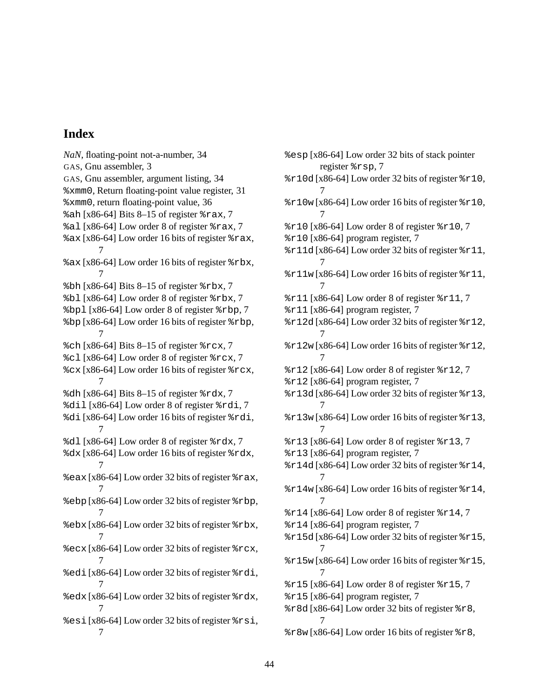## **Index**

*NaN*, floating-point not-a-number, 34 GAS, Gnu assembler, 3 GAS, Gnu assembler, argument listing, 34 %xmm0, Return floating-point value register, 31 %xmm0, return floating-point value, 36 %ah [x86-64] Bits 8–15 of register %rax, 7 %al [x86-64] Low order 8 of register %rax, 7 %ax [x86-64] Low order 16 bits of register %rax, 7 %ax [x86-64] Low order 16 bits of register %rbx, 7  $b$ h [x86-64] Bits 8–15 of register  $r$ bx, 7 %bl [x86-64] Low order 8 of register %rbx, 7 %bpl [x86-64] Low order 8 of register %rbp, 7 %bp [x86-64] Low order 16 bits of register %rbp, 7  $\text{\%ch}$  [x86-64] Bits 8–15 of register  $\text{\%}$  rcx, 7 %cl [x86-64] Low order 8 of register %rcx, 7  $\text{c}x$  [x86-64] Low order 16 bits of register  $\text{c}x$ , 7  $\delta$ dh [x86-64] Bits 8–15 of register  $\epsilon$ rdx, 7 %dil [x86-64] Low order 8 of register %rdi, 7 %di [x86-64] Low order 16 bits of register %rdi, 7 %dl [x86-64] Low order 8 of register %rdx, 7 %dx [x86-64] Low order 16 bits of register %rdx, 7 %eax [x86-64] Low order 32 bits of register %rax, 7 %ebp [x86-64] Low order 32 bits of register %rbp, 7 %ebx [x86-64] Low order 32 bits of register %rbx, 7 %ecx [x86-64] Low order 32 bits of register %rcx, 7 %edi [x86-64] Low order 32 bits of register %rdi, 7 %edx [x86-64] Low order 32 bits of register %rdx, 7 %esi [x86-64] Low order 32 bits of register %rsi, 7

%esp [x86-64] Low order 32 bits of stack pointer register %rsp, 7 %r10d [x86-64] Low order 32 bits of register %r10, 7 %r10w [x86-64] Low order 16 bits of register %r10, 7  $\text{\$r10}$  [x86-64] Low order 8 of register  $\text{\$r10,7}$  $\text{\$r10}$  [x86-64] program register, 7 %r11d [x86-64] Low order 32 bits of register %r11, 7  $\text{\$r11w}$  [x86-64] Low order 16 bits of register  $\text{\$r11}$ , 7  $\text{\$r11}$  [x86-64] Low order 8 of register  $\text{\$r11,7}$ %r11 [x86-64] program register, 7 %r12d [x86-64] Low order 32 bits of register %r12, 7  $\text{\$r12w}$  [x86-64] Low order 16 bits of register  $\text{\$r12}$ , 7 %r12 [x86-64] Low order 8 of register %r12, 7 %r12 [x86-64] program register, 7 %r13d [x86-64] Low order 32 bits of register %r13, 7 %r13w [x86-64] Low order 16 bits of register %r13, 7 %r13 [x86-64] Low order 8 of register %r13, 7  $\text{\$r13}$  [x86-64] program register, 7 %r14d [x86-64] Low order 32 bits of register %r14, 7 %r14w [x86-64] Low order 16 bits of register %r14, 7  $\text{\$r14}$  [x86-64] Low order 8 of register  $\text{\$r14,7}$  $\text{\$r14}$  [x86-64] program register, 7 %r15d [x86-64] Low order 32 bits of register %r15, 7  $\text{\$r15w}$  [x86-64] Low order 16 bits of register  $\text{\$r15}$ , 7  $\text{\$r15}$  [x86-64] Low order 8 of register  $\text{\$r15,7}$ %r15 [x86-64] program register, 7  $\text{\$r8d}$  [x86-64] Low order 32 bits of register  $\text{\$r8,}$ 7  $\text{\$r8w}$  [x86-64] Low order 16 bits of register  $\text{\$r8}$ ,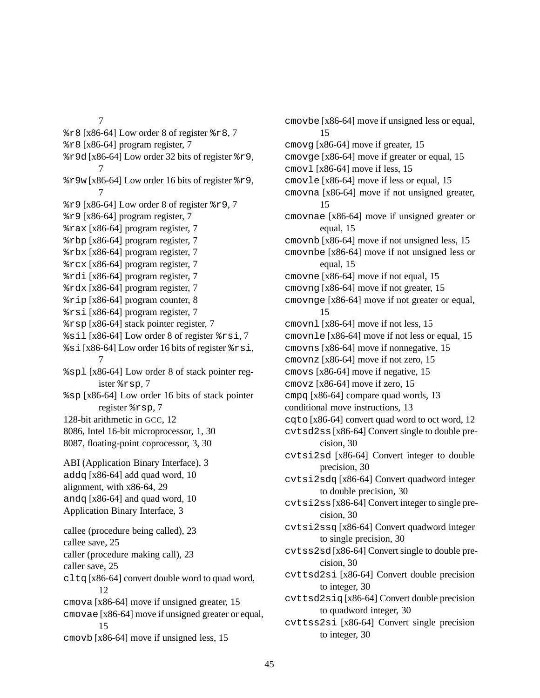7  $\text{\$r8}$  [x86-64] Low order 8 of register  $\text{\$r8}$ , 7 %r8 [x86-64] program register, 7 %r9d [x86-64] Low order 32 bits of register %r9, 7 7

15

cmovb [x86-64] move if unsigned less, 15

 $\text{\$r9w}$  [x86-64] Low order 16 bits of register  $\text{\$r9}$ ,  $\text{\$r9}$  [x86-64] Low order 8 of register  $\text{\$r9,7}$ %r9 [x86-64] program register, 7 %rax [x86-64] program register, 7 %rbp [x86-64] program register, 7 %rbx [x86-64] program register, 7 %rcx [x86-64] program register, 7 %rdi [x86-64] program register, 7 %rdx [x86-64] program register, 7 %rip [x86-64] program counter, 8 %rsi [x86-64] program register, 7 %rsp [x86-64] stack pointer register, 7 %sil [x86-64] Low order 8 of register %rsi, 7 %si [x86-64] Low order 16 bits of register %rsi, 7 %spl [x86-64] Low order 8 of stack pointer register %rsp, 7 %sp [x86-64] Low order 16 bits of stack pointer register %rsp, 7 128-bit arithmetic in GCC, 12 8086, Intel 16-bit microprocessor, 1, 30 8087, floating-point coprocessor, 3, 30 ABI (Application Binary Interface), 3 addq [x86-64] add quad word, 10 alignment, with x86-64, 29 andq [x86-64] and quad word, 10 Application Binary Interface, 3 callee (procedure being called), 23 callee save, 25 caller (procedure making call), 23 caller save, 25  $cltq[x86-64]$  convert double word to quad word, 12 cmova [x86-64] move if unsigned greater, 15 cmovae [x86-64] move if unsigned greater or equal, cmovbe [x86-64] move if unsigned less or equal, 15 cmovg [x86-64] move if greater, 15 cmovge [x86-64] move if greater or equal, 15 cmovl [x86-64] move if less, 15 cmovle [x86-64] move if less or equal, 15 cmovna [x86-64] move if not unsigned greater, 15 cmovnae [x86-64] move if unsigned greater or equal, 15 cmovnb [x86-64] move if not unsigned less, 15 cmovnbe [x86-64] move if not unsigned less or equal, 15 cmovne [x86-64] move if not equal, 15 cmovng [x86-64] move if not greater, 15 cmovnge [x86-64] move if not greater or equal, 15 cmovnl [x86-64] move if not less, 15 cmovnle [x86-64] move if not less or equal, 15 cmovns [x86-64] move if nonnegative, 15 cmovnz [x86-64] move if not zero, 15 cmovs [x86-64] move if negative, 15 cmovz [x86-64] move if zero, 15 cmpq [x86-64] compare quad words, 13 conditional move instructions, 13 cqto [x86-64] convert quad word to oct word, 12 cvtsd2ss [x86-64] Convert single to double precision, 30 cvtsi2sd [x86-64] Convert integer to double precision, 30 cvtsi2sdq [x86-64] Convert quadword integer to double precision, 30 cvtsi2ss [x86-64] Convert integer to single precision, 30 cvtsi2ssq [x86-64] Convert quadword integer to single precision, 30 cvtss2sd [x86-64] Convert single to double precision, 30 cvttsd2si [x86-64] Convert double precision to integer, 30 cvttsd2siq[x86-64] Convert double precision to quadword integer, 30 cvttss2si [x86-64] Convert single precision to integer, 30